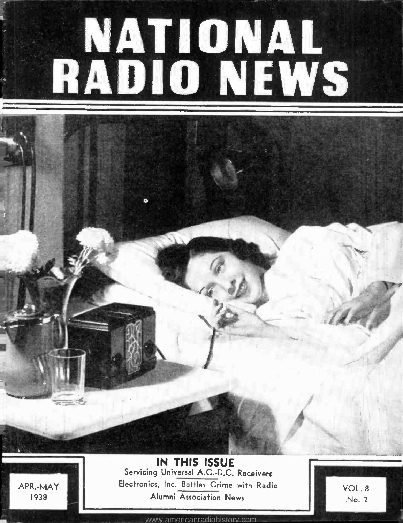# NATIONAL RADIO NEWS

APR.-MAY 1938

IN THIS ISSUE Servicing Universal A.C.-D.C. Receivers Electronics, Inc. Battles Crime with Radio Alumni Association News

VOL. 8 No. 2

1

<www.americanradiohistory.com>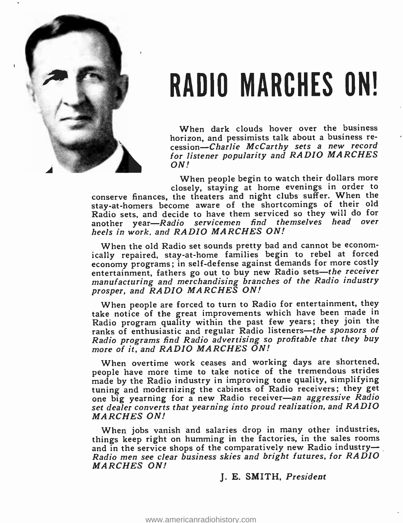

# RADIO MARCHES ON!

When dark clouds hover over the business horizon, and pessimists talk about a business recession-Charlie McCarthy sets a new record for listener popularity and RADIO MARCHES ON!

When people begin to watch their dollars more closely, staying at home evenings in order to

conserve finances, the theaters and night clubs suffer. When the stay -at- homers become aware of the shortcomings of their old Radio sets, and decide to have them serviced so they will do for another year-Radio servicemen find themselves head over heels in work. and RADIO MARCHES ON!

When the old Radio set sounds pretty bad and cannot be economically repaired, stay-at-home families begin to rebel at forced economy programs; in self- defense against demands for more costly entertainment, fathers go out to buy new Radio sets-the receiver manufacturing and merchandising branches of the Radio industry prosper, and RADIO MARCHES ON!

When people are forced to turn to Radio for entertainment, they take notice of the great improvements which have been made in Radio program quality within the past few years; they join the ranks of enthusiastic and regular Radio listeners-the sponsors of Radio programs find Radio advertising so profitable that they buy more of it, and RADIO MARCHES ON!

When overtime work ceases and working days are shortened, people have more time to take notice of the tremendous strides made by the Radio industry in improving tone quality, simplifying tuning and modernizing the cabinets of Radio receivers; they get one big yearning for a new Radio receiver-an aggressive Radio set dealer converts that yearning into proud realization, and RADIO MARCHES ON!

When jobs vanish and salaries drop in many other industries, When jobs vanish and salaries drop in half other mudstries,<br>things keep right on humming in the factories, in the sales rooms<br>and in the service shops of the comparatively new Radio industry and in the service shops of the comparatively new Radio industry-<br>Radio men see clear business skies and bright futures, for RADIO MARCHES ON!

#### J. E. SMITH, President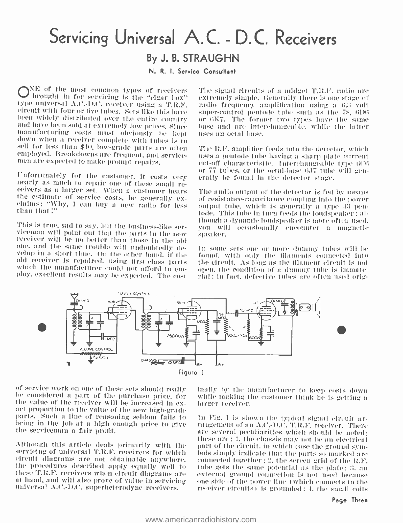# Servicing Universal A.C. - D.C. Receivers By J. B. STRAUGHN

N. R. I. Service Consultant

NE of the most common types of receivers – Theorem box brought in for servicing is the "cigar box" – ex type universal A.C.-D.C. receiver using a T.R.F. radio frequency amplification using a 6.3 volt<br>circuit with four or five tubes. Sets like this have super-control pentode tube such as the 78, 6D6<br>been widely distributed ov and have been sold at extremely low prices. Since<br>manufacturing costs must obviously be kept<br>down when a receiver complete with tubes is to<br>sell for less than \$10, low-grade parts are often<br>employed. Breakdowns are frequen

Unfortunately for the customer, it costs very<br>nearly as much to repair one of these small re-<br>ceivers as a larger set. When a customer hears<br>the estimate of service costs, he generally ex-<br>claims ; "Why, I can buy a new ra

This is true, sad to say, but the business-like ser-<br>viceman will point out that the parts in the new receiver will be no better than those in the old<br>one, and the same trouble will undoubtedly de-<br>In some velop in a short time. On the other hand, if the<br>old receiver is repaired, using first-class parts<br>which the manufacturer could not afford to em-<br>ploy, excellent results may be expected. The cost

The signal circuits of a midget T.R.F. radio are extremely simple. Generally there is one stage of radio frequency amplification using a 6.3 volt or  $6K7$ . The former two types have the same base and are interchangeable, while the latter uses an octal hase.

The It.F, amplifier feeds into the detector, which uses a pentode tube having a sharp plate current eut-off characteristic. Interchangeable type 6C6 or 77 tubes, or the octal-base 6J7 tube will generally be found in the detector stage.

The audio output of the detector is fed by means of resistance -capacitance eoupliug into the power output tube, which is generally a type 43 pentode. This tube in turn feeds the loudspeaker : although a dynamic loudspeaker is more often used. you will occasionally encounter a magnetic

In some sets one or more dummy tubes will be found, with only the filaments connected into the circuit. As long as the filament circuit is not open, the condition of a dummy tube is immaterial : in fact, defective tubes are often used orig-



of service work on one of these sets should really<br>be considered a part of the purchase price, for<br>the value of the receiver will be increased in ex-<br>act proportion to the value of the new high-grade<br>parts. Such a line of

servicing of universal T.R.F. receivers for which circuit diagrams are not obtainable anywhere. the procedures described apply equally well to tube gets the same potential as the plate; 3, an these T.R.F, receivers when circuit diagrams are — external ground connection is not used because<br>at hand, and will also prove of value in servicing — one side of the power line (which connects to the at hand, and will also prove of value in servicing universal A.C.-D.C. superheterodyne receivers.

inally by the manufacturer to keep costs down while making the customer think he is getting a larger receiver.

these are ; 1, the chassis may not be an electrical<br>Although this article deals primarily with the part of the circuit, in which case the ground sym-<br>servicing of universal T.R.F. receivers for which bols simply indicate t In Fig. 1 is shown the typical signal circuit ar-<br>rangement of an A.C.-D.C. T.R.F. receiver. There<br>are several peculiarities which should be noted; connected together ; 2, the screen grid of the II.F. external ground connection is not used because receiver circuits) is grounded: 1, the small coils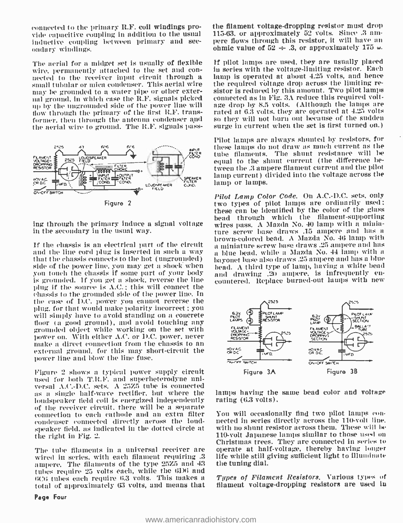connected to the primary R.F. coil windings provide capacitive coupling in addition to the usual 115-63, or approximately 52 volts. Since 3 aminductive coupling between primary and sec- ondary windings.

The aerial for a midget set is usually of flexible wire, permanently attached to the set and con- in series with the voltage-limiting resistor. Each<br>nected to the receiver input circuit through a small tubular and tubular or mica condenser. This aerial wire the required vo may be grounded to a water pipe or other external ground, in which case the R.F. signals picked — connected as in Fig. 3A reduce this required volt-<br>mo by the ungrounded side of the power line will — age drop by 8.5 yolts. (Although the lamps are up by the ungrounded side of the power line will — age drop by 8.5 volts. (Although the lamps are dow through the primary of the first R.F. trans- — rated at 6.3 volts, they are operated at 4.25 volts flow through the primary of the first R.F. transformer. then through the antenna condenser and the aerial wire to ground. The R.F. signals pass-



ing through the primary induce a signal voltage in the secondary in the usual way.

that the chassis connects to the hot (ungrounded) bayonet base also draws 25 ampere and has a blue side of the power line, you may get a shock when  $\frac{1}{2}$  bead. A third type of lamp, having a white bead you touch the c you touch the chassis if some part of your body is grounded. If you get a shock, reverse the line plug if the source is  $A.C.$ ; this will connect the chassis to the grounded side of the power line. In the case of D.C. power you cannot reverse the plug. for that would make polarity incorrect ; you will simply have to avoid standing on a concrete floor (a good ground), and avoid touching any grounded object while working on the set with make a direct connection from the chassis to an external ground, for this may short-circuit the power line and blow the line fuse.

Figure 2 shows a typical power supply circuit used for both T.R.F. and superheterodyne universal  $\Lambda$ , C. -D.C. sets. A 25%5 tube is connected as a single half-wave rectifier, but where the loudspeaker field coil is energized independently of the receiver circuit, there will be a separate<br>connection to each cathode and an extra filter - You will occasionally find two pilot lamps conconnection to each cathode and an extra filter condenser connected directly across the loud - speaker field, as indicated in the dotted circle at the right in Fig. 2.

The tube filaments in a universal receiver are wired in series, with each filament requiring .3 ampere. The filaments of the type 25Z5 and 43 tubes require 25 volts each, while the 6D6 and UCU tubes each require 0.3 volts. This makes a total of approximately 63 volts, and means that

Page Four

the filament voltage- dropping resistor must drop pere flows through this resistor, it will have an ohmic value of  $52 \div .3$ , or approximately 175  $\omega$ .

If pilot lamps are used, they are usually placed in series with the voltage -limiting resistor. Each lamp is operated at about 4.25 volts, and hence sistor is reduced by this amount. Two pilot lamps connected as in Fig. 3A reduce this required voltso they will not burn out because of the sudden surge in current when the set is first turned on.)

rupt tube filaments. The shunt resistance will be<br>contained to the chunt current (the difference be-Pilot lamps are always shunted by resistors, for these lamps do not draw as much current as the equal to the shunt current (the difference between the .3 ampere filament current and the pilot lamp current) divided into the voltage across the lamp or lumps.

 $\,$   $\,$   $\,$   $\,$  If the chassis is an electrical part of the circuit  $\,$   $\,$  a miniature screw base draws .25 ampere and has and the line cord plug is inserted in such a way  $\,$   $\,$  a blue bead, while a Mazda No. 4 Pilot Lamp Color Code. On A.C. -D.C. sets, only two types of pilot lamps are ordinarily used: these can be identified by the color of the glass bead through which the filament -supporting wires pass. A Mazda No. 40 lamp with a miniature screw base draws .15 ampere and has a a blue bead, while a Mazda No. 44 lamp with a bead. A third type of lamp, having a white bead countered. Replace burned-out lamps with new



lamps having the same bead color and voltage rating (6.3 volts).

nected in series directly across the 110-volt line. with no shunt resistor across them. These will lie <sup>110</sup>-volt Japanese lamps similar to those used on Christmas trees. They are connected in series to operate at half-voltage, thereby having longer life while still giving sufficient light to illuminate the tuning dial.

Types of Filament Resistors. Various types of filament voltage-dropping resistors are used in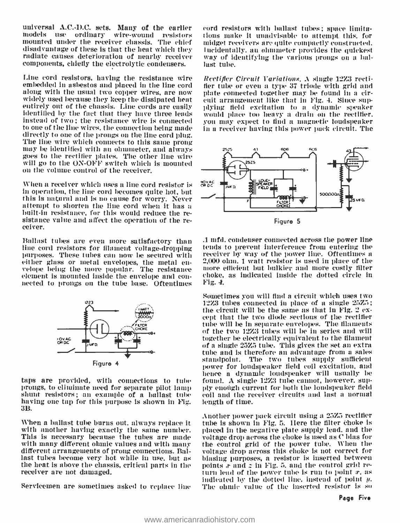universal A.C.-D.C. sets. Many of the earlier<br>models use ordinary wire-wound resistors models use ordinary mounted under the receiver chassis. The chief radiate causes deterioration of nearby receiver components, chiefly the electrolytic condensers.

Line cord resistors, having the resistance wire embedded in asbestos and placed in the line cord along with the usual two copper wires, are now plate connected together may be found in a cir-<br>widely used because they keep the dissipated heat cuit arrangement like that in Fig. 4. Since sup-<br>entirely out of the chassis. identified by the fact that they have three leads instead of two; the resistance wire is connected to one of the line wires. the connection being made directly to one of the prongs on the line cord plug. The line wire which connects to this same prong may be identified with an ohmmeter, and always goes to the rectifier plates. The other line wire will go to the ON-OFF switch which is mounted on the volume control of the receiver.

When a receiver which uses a line cord resistor is  $\frac{100 \times AC}{100 \times AC}$ in operation, the line cord becomes quite hot, but this is natural and is no cause for worry. Never built-in resistance, for this would reduce the resistance value and affect the operation of the re-<br>ceiver.

Ballast tubes are even more satisfactory than line cord resistors for filament voltage-dropping — tends to prevent interference from entering the<br>purposes. These tubes can now be secured with — receiver by way of the power line. Oftentimes a purposes. These tubes can now be secured with the receiver by way of the power line. Oftentimes a<br>either glass or metal envelopes, the metal eng the 2,000 ohm. I watt resistor is used in place of the either glass or metal envelopes, the metal en- velope being the more popular. The resistance element is mounted inside the envelope and con- nected to prongs on the tube base. Oftentimes



taps are provided, with connections to tube<br>prongs, to eliminate need for separate pilot lamp shunt resistors; an example of a ballast tube having one tap for this purpose is shown in Fig. 313.

When a ballast tube burns out, always replace it with another having exactly the same number. This is necessary because the tubes are made with many different ohmic values and with many different arrangements of prong connections. Ballast tubes become very hot while in use, but as the heat is above the chassis, critical parts in the points  $x$  and  $z$  in Fig. 5, and the control grid re-<br>receiver are not damaged, the starting of the power tube is run t receiver are not damaged.

cord resistors with ballast tubes; space limitations make it unudvisable to attempt this. for midget receivers are quite compactly constructed. Incidentally. an ohmmeter provides the quickest way of identifying the various prongs on a ballast tube.

Rectifier Circuit Variations. A single 12Z3 rectifier tube or even a type 37 triode with grid and plate connected together may be found in a circuit arrangement like that in Fig. 4. Since supwould place too heavy a drain on the rectifier. you may expect to find a magnetic loudspeaker in a receiver having this power pack circuit. The



.1 mfd. condenser connected across the power line tends to prevent interference from entering the more efficient but bulkier and more costly filter choke, as indicated inside the dotted circle in

Sometimes you will find a circuit which uses two<br>12Z3 tubes connected in place of a single  $25Z5$ ; the circuit will be the same as that in Fig. 2 ex-<br>cept that the two diode sections of the rectifier tube will be in separate envelopes. The filaments of the two 12Z3 tubes will be in series and will together be electrically equivalent to the filament of a single 25Z5 tube. This gives the set an extra tube and is therefore an advantage from a sales standpoint. The two tubes supply sufficient power for loudspeaker field coil excitation, and hence a dynamic loudspeaker will usually be found. A single 12Z3 tube cannot, however, supply enough current for both the loudspeaker field coil and the receiver circuits and last a normal length of time.

indicated by the dotted line, instead of point  $y$ .<br>Servicemen are sometimes asked to replace line – The ohmic value of the inserted resistor is so Another power pack circuit using a 2323 rectifier tube is shown in Fig. 5. Ilere the filter choke is placed in the negative plate supply lead, and the voltage drop across the choke is used as C bias for the control grid of the power tube. When the voltage drop across this choke is not correct for biasing purposes, a resistor is inserted between points  $x$  and  $z$  in Fig. 5, and the control grid re-The ohmic value of the inserted resistor is so Page Five

Fig. 4.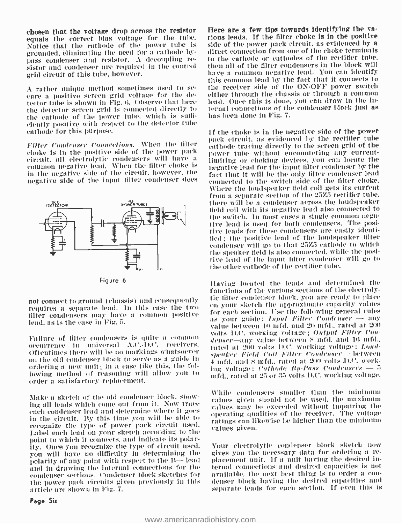equals the correct bias voltage for the tube. — rious-leads. If the filter-choke is in the positive<br>Notice that the cuthode of the power tube is — side of the power-pack-circuit, as evidenced by a Notice that the cathode of the power tube is grounded, eliminating the need for a cathode bysistor and condenser are required in the control grid circuit of this tube, however.

<sup>A</sup>rather unique method sometimes used to se- cure a positive screen grid voltage for the detector tube is shown in Fig. 6. Observe that here - lead. Once this is done, you can draw in the inthe detector screen grid is connected directly to — ternal connections of th<br>the gathede of the nower tube, which is suffi- — has been done in Fig. 7. the cathode of the power tube. which is sufficiently positive with respect to the detector tube cathode for this purpose.

Filter Condenser Connections. When the filter choke is in the positive side of the power pack common negative lead. When the filter choke is in the negative side of the circuit. however, the negative side of the input filter condenser does



Figure 6

requires a separate lead. In this ease the two filter condensers may have a common positive to the care section. Cse the following general rules<br>as your guide:  $f_{H\mu\nu}f_{H\mu\nu}f_{H\nu}$  condenser  $\rightarrow$  any lead, as is the ease in Fig. 5.

Failure of filter condensers is quite a common denser—any value between 8 mfd, and 16 mfd., occurrence in universal A.C.-D.C. receivers. <br>earlied at 200 volts D.C. working voltage; *Lond-*Oftentimes there will be uu markings whatsoever on the old condenser block to serve as a guide in ordering a new unit; in a case like this, the following method of reasoning will allow you to middle rated at 25 or 35 volts D.C. working voltage. order a satisfactory replacement.

Make a sketch of the old coudeuser block. showing all leads which come out from it. Now trace each condenser lead and determine where it goes in the circuit. By this time you will be able to recognize the type of power pack circuit used. Label each lead on your sketch according to the point to which it connects. and indicate its polarity. Once you recognize the type of circuit used. Your electrolytic condenser block sketch now<br>you will have no difficulty in determining the gives you the necessary data for ordering a reyou will have no difficulty in determining the – gives yon the necessary data for ordering a re-<br>polarity of any point with respect to the B— lead – placement unit. If a unit having the desired inpolarity of any point with respect to the  $B$ -lead and in drawing the internal connections for the — ternal connections and desired capacities is not<br>condenser sections, Condenser block sketches for — available, the next best thing is to order a concondenser sections. Condenser block sketches for the power pack circuits given previously in this article are shown iu Fig. 7.

Page Six

chosen that the voltage drop across the resistor Here are a few tips towards identifying the various leads. If the filter choke is in the positive direct connection from one of the choke terminals to the cathode or cathodes of the rectifier tube. then all of the filter condensers in the block will have a common negative lead. You can identify this common lead by the fact that it connects to the receiver side of the ON -OFF power switch either through the chassis or through a common ternal connections of the condenser block just as

> If the choke is in the negative side of the power pack circuit. as evidenced by the rectifier tube cathode tracing directly to the screen grid of the power tube without encountering any currentlimiting or choking devices. you can locate the negative lead for the input filter condenser by the fact that it will be the only filter condenser lead connected to the switch side of the filter choke. NVhere the loudspeaker field coil gets its curfent from a separate section of the 257.5 rectifier tube, there will be a condenser across the loudspeaker field coil with its negative lead also connected to the switch. Iu most cases a single common negative lead is used for both condensers. The positive leads for these condensers are easily identified; the positive lead of the loudspeaker filter condenser will go to that 257.5 cathode to which the speaker field is also connected, while the positive lead of the input filter condenser will go to the other cathode of the rectifier tube.

not connect to ground (chassis) and eonsequently Having located the leads and determined the functions of the various sections of the electrolyon your sketch the approximate capacity values for each section. Use the following general rules value between 10 mfd. and 20 mfd., rated at 200 volts D.C. working voltage; Output Filler Condenser-any value between S mfd. and 16 mfd.. speaker Field Coil Filter Condenscr- between  $4 \text{ mfd.}$  and S mfd.. rated at  $200$  volts  $\text{D.C.}$  working voltage; Cathode  $By-Pass$  Condensers  $\rightarrow$  5

> \Chile condensers smaller than the minimum values given should not be used, the maximum values may he exceeded without impairing the operating qualities of the receiver. The voltage ratings can likewise be higher than the minimum values given.

> Your electrolytic condenser block sketch now ternal connections and desired capacities is nut denser block having the desired capacities and separate leads for each section. if even this is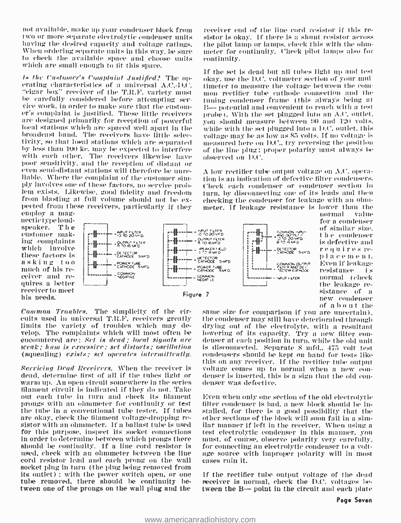not available, make up your condenser block from — receiver end of the line cord resistor if this re-<br>two or more separate electrolytic condenser units — sistor is okay. If there is a shunt resistor across two or more separate electrolytic condenser units — sistor is okay. If there is a shunt resistor across<br>having the desired capacity and voltage ratings. — the pilot lamp or lamps, check this with the ohm-When ordering separate units in this way, be sure to check the available space and choose units which are small enough to fit this space.

Is the Customer's Complaint Justified? The operating characteristics of a universal A.C.-D.C.<br>"cigar box" receiver of the T.R.F. variety must he carefully considered before attempting ser- viee work, in order to make sure that the customvice work, in order to make sure that the custom- $B \rightarrow$  potential and convenient to reach with a test er's complaint is justified. These little receivers  $\pm$  probe). With the set plugged into an A.C. outlet. are designed primarily for reception of powerful local stations which are spaced well apart in the Iiroadeast band. The receivers have little selectivity, su that lural stations which are separated by less than 100 ko. may be espeeted to interfere with each other. The receivers likewise have poor' sensitivity, and the reception of distant or<br>even semi-distant stations will therefore be unreliable. Where the complaint of the customer simply involves one of these factors, no service problem exists. likewise, good fidelity and freedom from blasting at full volume should not be ex-<br>pected from these receivers, particularly if they<br>employ a mag-<br>nectictypeloud-

meter for continuity. Check pilot lamps also for continuity.

If the set is dead but all tubes light up and test okay, use the D.C. voltmeter section of poor null timeter to measure the voltage between the comuon rectifier tule cathode connection and the tuning condenser frame (this always being at probe). With the set plugged into an A.C. outlet. you should measure between 90 and 120 volts. while with the set plugged into a D.C. outlet, this voltage may be as low as 85 volts. If no voltage is measured here on D.C., try reversing the position of the line plug; proper polarity must always be observed ou 1).('.

A low rectifier tube output voltage on A.C. opera-<br>tion is an indication of defective filter condensers. ('heck each condenser or condenser section in turn, by disconnecting one of its leads and then checking the condenser for leakage with an ohmmeter. If leakage resistance is lower than the

speaker. The<br>customer making complaints which involve<br>these factors is asking too<br>much of his receiver and re-<br>quires a better receiver to meet his needs.



normal for a condenser of similar size. t h e -condenser<br>is defective and requires re-<br>place ment. Even if leakage<br>resistance i s<br>normal (check<br>the leakage re- $\begin{array}{ll}\text{sistance} & \text{of} & \text{a} \\ \text{new} & \text{condenser} \\ \text{of} & \text{a} & \text{b} & \text{o} \text{ u} + \text{the} \end{array}$ 

Common Troubles. The simplicity of the circuits used in universal T.It.F. receivers greatly limits the variety of troubles which may develop. The complaints which will most often be encountered are: Set is dead; local signals are<br>weak; hum is excessive; set distorts; oscillation (squealing) exists; set operates intermittently.

Servicing Dead Receivers. When the receiver is dead, determine first of all if the tubes light or warm up. An open circuit somewhere in the series filament circuit is indicated if they do not. Take out each tube in turn and check its filament prongs with an ohmmeter for continuity or test the tube in a conventional tube tester. If tubes are stalled, for there is a good possibility that the are okay, check the filament voltage-dropping re-<br>sitor with an olumneter. If a ballast tube is used allar manner if le for this purpose, inspect its socket connections in order to determine between which prongs there — must, of course, observe polarity very carefully,<br>should be continuity. If a line cord resistor is — for connecting an electrolytic condenser to a voltshould be continuity. If a line cord resistor is used, check with an ohmmeter between the line — age source w<br>cord resistor lead and each prong on the wall — cases ruin it. cord resistor lend and each prong on the wall socket plug in turn (the plug being removed from its outlet) ; with the power switch open, or one tube removed, there should be continuity between one of the prongs on the wall plug and the

same size for comparison if you are uncertain). the condenser may still have deteriorated through drying out of the electrolyte, with a resultant lowering of its capacity. Try a new filter con- denser at each position in turn. while the old unit is disconnected. Separate 8 mfd., 475 volt test condensers should he kept on hand for tests like voltage comes up to normal when a new eon-<br>denser is inserted, this is a sign that the old condenser was defective.

Even when only one section of the old electrolytic stalled, for there is at good possibility that the other sections of the block will soon fail in a similar manner if left in the receiver. When using a must, of course, observe polarity very carefully, age source with improper polarity will in most

If the rectifier tube output voltage of the dead receiver is normal, check the D.C. voltages between the B- point in the circuit and each plate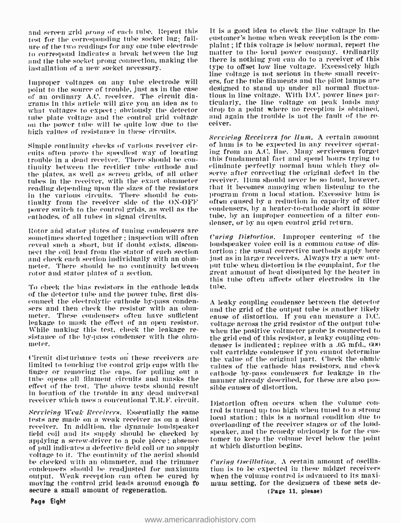and screen grid *prong* of each tube. Repeat this  $\pm 1$  is a good idea to check the line voltage in the test for the corresponding tube socket lug; fail- customer's home when weak reception is the comure of the two readings for any one tube electrode — plaint ; if this voltage is below normal, report the<br>to correspond indicates a break between the lug — matter to the local power company. Ordinarily to correspond Indicates a break between the lug and the tube socket prong connection, making the installation of a new socket necessary.

Improper voltages on any tube electrode will<br>point to the source of trouble, just as in the case of an ordinary A.C. receiver. The circuit dia-grams in this article will give you an idea as to what voltages to expect; obviously the detector tube plate voltage and the control grid voltage on the power tube will be quite low due to the high values of resistance in these circuits.

Simple continuity cheeks of various receiver circuits often prove the speediest way of locating trouble in a dead receiver. There should be con- this fundamental fact and spend hours trying to<br>tinuity between the rectifier tube cathode and - eliminate perfectly normal hum which they obthe plates, as well as screen grids, of all other tubes in the receiver. with the exact ohmmeter reading depending upon the sizes of the resistors in the various circuits. There should be con- program from a local station. Excessive hum is<br>tinuity from the receiver side of the ON-OFF — often caused by a reduction in capacity of filter<br>power switch to the control grid power switch to the control grids. as well as the cathodes, of all tubes in signal circuits.

Rotor and stator plates of tuning condensers are sometimes shorted together ; inspection will often reveal such a short. but if doubt exists. disconnect the coil lead from the stator of each section and check each section individually with an ohmmeter. There should he no continuity between rotor and stator plates of a section.

To check the bias resistors in the cathode leads of the detector t uhe and the power tube, first disconnect the electrolytic cathode by -pass conden- sers and then check the resistor with an ohmmeter. These condensers often have sufficient leakage to mask the effect of an open resistor. sistance of the by-pass condenser with the ohmmeter.

limited to touching the control grip caps with the finger or removing the caps, for pulling out a tube opens all filament tcircuits and masks the effect of the test. The above tests should result in location of the trouble in any dead universal

Servicing Weak Receivers. Essentially the same tests are made on a weak receiver as on n dead receiver. In addition, the dynamic loudspeaker - overloading of the receiver stages or of the roll.<br>field coil and its smonly should be checked by - speaker, and the remedy obviously is for the cusfield coil and its supply should be checked by appearer, and the remedy obviously is for the cus-<br>applying a screw-driver to a pole piece; absence tomer to keep the volume level below the point of pull indicates a defective field coil or no supply voltage to it. 'l'he colt' 'ty of the aerial should he checked with an ohmmeter. and the trimmer condensers should be readjusted for maximum output. Weak reception can often be cured by — when the volume control is advanced to its maxi-<br>moving the control grid leads around enough to — mum setting, for the designers of these sets demoving the control grid leads around enough to secure a small amount of regeneration.

It is a good idea to check the line voltage in the plaint; if this voltage is below normal, report the there is nothing you can do to a receiver of this type to offset low line voltage. Excessively high line voltage is not serious in these small receivers, for the tube filaments and the pilot lamps are designed to stand up under all normal fluctuations in line voltage. With D.C. power lines particularly, the line voltage on peak loads may drop to a point where no reception is obtained. and again the trouble is not the fault of the  $re$ -

Servicing Receivers for *Hum*. A certain amount of hum is to be expected in any receiver operating from an A.C. line. Many servicemen forget this fundamental fact and spend hours trying to serve after correcting the original defect in the receiver. Ilum should never be so loud, however. that it becomes annoying when listening to the program from a local station. Excessive hum is often caused by a reduction in capacity of filter tube, by an improper connection of a filter con-<br>denser, or by an open control grid return.

Curing Distortion. Improper centering of the loudspeaker voice coil is a common cause of distortion ; the usual corrective methods apply here just as in larger receivers. Always try a new output tube when distortion is the complaint, for the great amount of heat dissipated by the heater in this tithe often affects other electrodes in the tube.

volt cartridge condenser if you cannot determine<br>Circuit disturbance tests on these receivers are — the value of the original part. Check the obmic <sup>A</sup>leaky coupling condenser between the detector and the grid of the output tube is another likely eause of distortion. If you can measure a D.C. voltage across the grid resistor of the output tube when the positive voltmeter probe is connected to the grid end of this resistor, a leaky coupling con-<br>denser is indicated; replace with a .05 mfd., 600 the value of the original part. ('heck the ohmic values of the cathode bias resistors, and check cathode by -pass condensers for leakage in the manner already described, for these are also possible causes of distortion.

receiver which uses a conventional T.R.F. circuit. Distortion often occurs when the volume control is turned up too high when tuned to a strong local station ; this is a normal condition due to overloading of the receiver stages or of the loudat which distortion begins.

> Curing Oscillation. A certain amount of oscillation is to be expected in these midget receivers when the volume control is advanced to its maxi-(Page 11, please)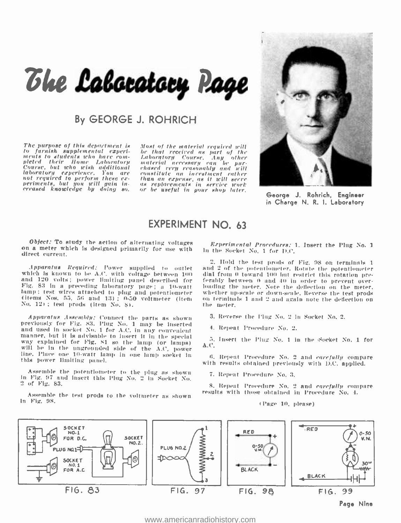# The Labocatory Page

# By GEORGE J. ROHRICH

The purpose of this department is - Most of the material required will<br>to furnish supplemental experi- - be that received as part of the<br>ments to students who have com- - Laboratory - Course, Any -other to furnish supplemental experimental experiments to students acto have community and the community of the community of the community of the community of the community of the community of the community of the community of t

*Laboratory* Course, Any other<br>material necessary can be pur-<br>chased rery reasonably and will<br>constitute an incestment rather<br>than an expense, as it will serve<br>or be useful in your shop later.



George J. Rohrich, Engineer in Charge N. R. I. Laboratory

## EXPERIMENT NO. 63

Object: To study the action of alternating voltages<br>on a meter which is designed primarily for use with<br>direct current.

and 120 volts; power limiting panel described for Fig. 83 in a preceding laboratory page; a <sup>10</sup>-watt lamp; test wires attached to plug and potentiometer (items Nos. 55, 50 and 13) ; 0 -50 voltmeter (item No. 121 ; test prods (item No. Si.

Apparatus Assembly: Connect the parts as shown previously for Fig. 83. Plug No. 1 may be Inserted and used in socket No. 1 for A.C. in any convenient manner, but it is advisable to insert It in the special way explained for Fig. 81 so the lamp (or lamps) will be In the ungrounded side of the A.C. power line. Place one 10 -watt lamp in one lamp socket In this power limiting parcel.

Assemble the potentiometer to the plug as shown In Fig. 97 and insert this Plug No. 2 in Socket No. 2 of Fig. 83.

Assemble the test prods to the voltmeter as shown In Fiat. 98.

Experimental Procedures: 1. Insert the Plug No. 1 In the Socket No. 1 for D.C.

Apparatus Required: Power supplied to outlet and 2 of the potentiometer. Rotate the potentiometer<br>which is known to be A.C. with voltage between 100 – dial from 0 toward 100 but restrict this rotation pre-<br>and 120 volts; 2. Hold the test prods of Fig. 98 on terminals I dial from 0 toward 100 but restrict this rotation preloading the meter. Note the deflection on the meter. on terminals 1 and 2 and again note the deflection on the meter.

3. Reverse the Plug No. 2 in Socket No. 2.

4. Repeat Procedure No. 2.

5. Insert the Plug No. 1 in the Socket No. 1 for A.C.

6. Repeat Procedure No. 2 and *carefully* compare with results obtained previously with D.C. applied.

7. Repeat Procedure No. 3.

8. Repeat Procedure No. 2 and *carefully* compare results with those obtained in Procedure No. 4.

(Page 10, please)



<www.americanradiohistory.com>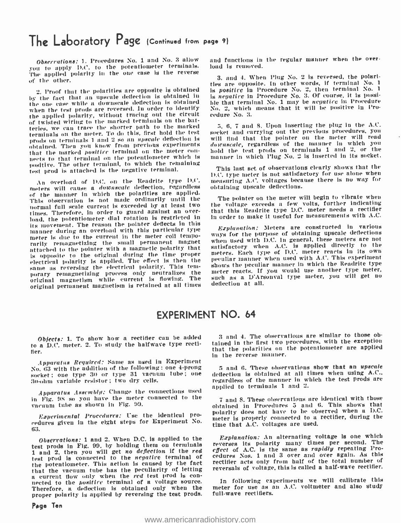# The Laboratory Page (Continued from page 9)

Observations: 1. Procedures No. 1 and No. 3 allow you to apply D.C. to the potentiometer terminals. The applied polarity In the one case is the reverse of the other.

2. Proof that the polarities are opposite is obtained by the fact that an upscale deflection is obtained lu the one ease while a dowuscale deflection is obtained when the test prods are reversed. In order to identify the applied polarity, without tracing out the circuit of twisted wiring to the marked terminals on the batteries, we can trace the shorter path to the marked terminals on the meter. To do this, first hold the test prods on terminals 1 and 2 so an upscale deflection is obtained. Then you know from previous experiments *downscale,* regardless of the manner in which you<br>that the marked *positice* terminal on the meter con- hold the test prods on terminals 1 and 2, or the nects to that terminal on the potentiometer which is positive. The other terminal, to which the remaining test prod is attached is the negative terminal.

An overload of D.C. on the Readrite type D.C. meters will cause a *downscale* deflection, regardless of the manner in which the polarities are applied. This observation is not made ordinarily until the normal full scale current is exceeded by at least two times. Therefore, in order to guard against an overload, the potentiometer dial rotation is restricted in manner during an overload with this particular type meter is due to the current in the meter coil temporarily remagnetizing the small permanent magnet – when used with D.C. in general, these meters are not the pointer with a magnetic pointrie pointrie in the state of the state of the state of the state of the state of the s attached to the pointer with a magnetic polarity that is opposite to the original during the time proper electrical polarity is applied. The effect is then the same as reversing the electrical polarity. This temporary remagnetizing process only neutralizes the me<br>original magnetism while current is flowing. The suc original magnetism while carrelly in the carrier of the deflection at all.

and functions in the regular manner when the overload is removed.

3. and 4. When Plug No. 2 is reversed, the polari-<br>ties are opposite. In other words, if terminal No. 1 is *positire* in Procedure No. 2, then terminal No. 1 is negative in Procedure No. 3. Of course, it is possible that terminal No. 1 may be negative in Procedure No. 2, which means that it will be positive iu Procedure No. 3.

5, 6, 7 and 8. Upon inserting the plug in the  $A.C.$ socket and carrying out the previous procedures, you will find that the pointer on the meter will read dotcnscale, regardless of the manner in which you manner in which Plug No. 2 is inserted in its socket.

This last set of observations clearly shows that the D.C. type meter is not satisfactory for use alone when measuring A.C. voltages because there is no way for obtaining upscale deflections.

The pointer on the meter will begin to vibrate when the voltage exceeds a few volts, further Indicating that this Readrite type D.C. meter needs a rectifier in order to make it useful for measurements with A.C.

Explanation: Meters are constructed in various ways for the purpose of obtaining upscale deflections when used with D.C. In general, these meters are not satisfactory when A.C. is applied directly to the peculiar manner when used with A.C. This experiment shows the peculiar manner in which the Readrite type meter reacts. If you would use another type meter, such as a D'Arsonval type meter, you will get no

# EXPERIMENT NO. 64

Objects: 1. To show how a rectifier can be added to a D.C. meter. 2. To study the halfwave type rectifier.

Apparatus Required: Same as used in Experiment No. 63 with the addition of the following: one 4 -prong socket ; one type 30 or type 31 vacuum tube; one 30 -o111 variable resistor; two dry cells.

Apparatus Assembly: Change the connections used applied to terminals 1 and 2. in Fig. PS so you have the meter connected to the vacuum tube as shown in Fig. 90.

Experimental Procedures: Use the identical pro - eedures given in the eight steps for Experiment Vo. 63.

test prods in Fig. 99. by holding them on terminals <sup>1</sup>and 2, then you will get no deflection If the red test prod is connected to the negative terminal of the potentiometer. This action is caused by the fact that the vacuum tube has the peculiarity of letting<br>a current flow only when the *red* test prod is connected to the *positire* terminal of a voltage source.<br>Therefore, a deflection is obtained only when the proper polarity is applied by reversing the test prods.

3 and 4. The observations are similar to those obtained in the first two procedures, with the exception that the polarities on the potentiometer are applied in the reverse manner.

5 and 6. These observations show that an upscale deflection is obtained at all times when using A.C.. regardless of the manner in which the test prods are

<sup>7</sup>and 8. These observations are identical with those obtained in Procedures 5 and 6. This shows that polarity does not have to be observed when a D.C. meter is properly connected to a rectifier, during the time that A.C. voltages are used.

Observations: 1 and 2. When D.C. is applied to the Explanation: An alternating voltage is one which Explanation: An alternating voltage Is one which reverses its polarity many times per second. The effect of A.C. is the same as rapidly repeating Procedures Nos. 1 and 3 over and over again. As this rectifier acts only front half of the total number of reversals of voltage, this is called a half-wave rectifier.

> In following experiments we will calibrate this meter for use as an A.C. voltmeter and also study full-wave rectifiers.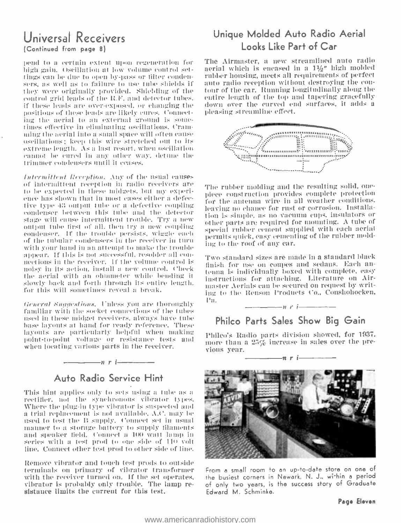# Universal Receivers (Continued from page 8)

pend to a certain extent upon regeneration for high gain. Oscillation at low volume control settings can be due to open by -pass or filter condensers, as well as to failure to use tube shields if — auto radio reception without destroying the cou-<br>they were originally provided. Shielding of the — tour of the car. Running longitudinally along the they were originally provided. Shielding of the control grid leads of the R.F. and detector tubes. if these leads are over -exposed. or changing the positions of these leads fire likely cures. Connecting the aerial to an external ground is some- times effective in eliminating oscillations. Cramming the aerial into a small space will often cause oscillations; keep Iltis wire stretched out to its estrame length. As a List resort. when oscillation cannot be cured in any other way. detnue the trimmer condensers until it ceases.

Intermittent Reception. Any of the usual eauses<br>of intermittent reception in radio receivers are to be expected in these midgets, but my experi-<br>ence has shown that in most cases either a defective type 43 output tube or a defective coupling eoudeuser between this tube and the detector stage will cause intermittent trouble. Try a new output tube first of all, then try a new coupling condenser. If the trouble persists, wiggle each of the tubular condensers in the receiver in turn with your hand in an attempt to make the trouble<br>appear. If this is not successful, resolder all conmeetions in the receiver. If the volume control is  $\frac{1 \text{ two standard size}}{\text{disk}}$  for use on coupes and sedans. Each annoisy in its action, install a new control. Check the aerial with an ohmmeter while bending it - under a final and alternature on Airslowly back and forth through its entire length. for this will sometimes reveal a break.

General Suggestions. Unless you are thoroughly familiar with the socket connections of the tubes used in these midget receivers, always have tube base layouts at hand for ready reference. These I;aynnt- arc particularly helpful when making point-tu -point voltage or resislaane(' tests and when locating various parts in the receiver.

# Auto Radio Service Hint

 $n r$  i

This hint applies only to sets using a tube as a rectifier. not the synchronous vibrator types. Where the plug-in type vibrator is suspected and a trial replacement is not available. A.C. may be used to test the B supply. Connect set in usual manner to a storage battery to supply filaments and speaker field. Connect a 110 watt lamp in series with a test prod to one side of 110 volt line. Connect other test prod to other side of line.

Remove vibrator and touch test prods to outside terminals on primary of vibrator transformer vibrator is probably only trouble. The lamp resistance limits the current for this test.

# Unique Molded Auto Radio Aerial Looks Like Part of Car

The Airmaster, a new streamlined auto radio aerial which is encased in a  $1\frac{1}{2}$ " high molded rubber housing, meets all requirements of perfect auto radio reception without destroying the couentire length of the top and tapering gracefully down over the curved end surfaces, it adds a



The rubber molding and the resulting solid, onepiece construction provides complete protection for the antenna wire in all weather conditions. leaving no chance for rust or corrosion. Installation is simple, as no vacuum cups, insulators or other parts are required for mounting. A tube of special rubber cement supplied with each aerial permits utick, easy cementing of the rubber molding to the roof of any car.

Two standard sizes are made in a standard black fenna is individually boxed with complete, easy inaster Aerials can be secured on request by writing to the Henson Products Co., Conshohocken,  $\frac{1}{\sqrt{1-\frac{1}{\sqrt{1-\frac{1}{\sqrt{1-\frac{1}{\sqrt{1-\frac{1}{\sqrt{1-\frac{1}{\sqrt{1-\frac{1}{\sqrt{1-\frac{1}{\sqrt{1-\frac{1}{\sqrt{1-\frac{1}{\sqrt{1-\frac{1}{\sqrt{1-\frac{1}{\sqrt{1-\frac{1}{\sqrt{1-\frac{1}{\sqrt{1-\frac{1}{\sqrt{1-\frac{1}{\sqrt{1-\frac{1}{\sqrt{1-\frac{1}{\sqrt{1-\frac{1}{\sqrt{1-\frac{1}{\sqrt{1-\frac{1}{\sqrt{1-\frac{1}{\sqrt{1-\frac{1}{\sqrt{1-\frac{1}{\sqrt{1-\frac{1$ 

# Philco Parts Sales Show Big Gain

Philco's Radio parts division showed, for 1937, more than a 25% increase in sales over the previous year.<br> $\frac{1}{\sqrt{1-\frac{1}{n}}}\frac{1}{r}$  i



From a small room to an up -to -date store on one of the busiest corners in Newark, N. J., wi-hin a period of only two years, is the success story of Graduate Edward M. Schminke.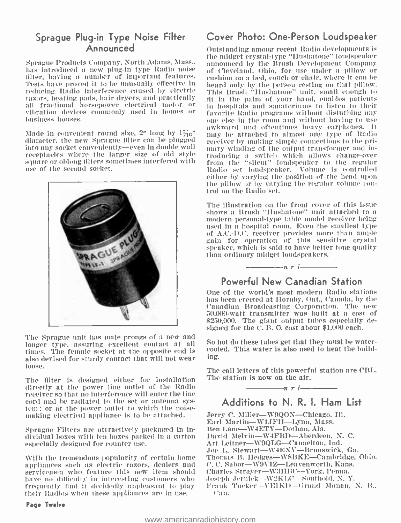# Sprague Plug-in Type Noise Filter Announced

Sprague Products Company, North Adams. Mass.. has introduced a new plug-in type Radio noise of Cleveland, Ohio, for use under a pillow or filter, having a number of important features. eushion on a bed, couch or chair, where it can be filter, having a number of important features. eushion on a bed, couch or chair, where it can be<br>Tests have proved it to be unusually effective in heard only by the person resting on that pillow. Tests have proved it to be unusually effective in reducing Radio interference caused by electric razors, heating pads, hair dryers, and practically all fractional horsepower electrical motor or vibration devices commonly used hi homes or business houses.

diameter, the new Sprague filter can be plugged into any socket conveniently—even in double wall imary winding of the output transformer and in-<br>receptacles where the larger size of old style incolucing a switch which allows change-over receptacles where the larger size of old style square or oblong tillers sometimes interfered with use of the second socket.



The Sprague unit las male prongs of a new and longer type, assuring excellent contact at all solution these tubes get that they must be water-<br>three diverses welcomediate the cunosite and is seconded. This water is also used to heat the buildtimes. The female socket at the opposite end is also devised for sturdy contact that will not wear loose.

The filter is designed either for installation directly at the power line outlet of the Radio receiver so that no interference will enter the line cord and be radiated to the set or antenna sysmaking electrical appliance is to be attached.

Sprague Filters are attractively packaged in individual boxes with ten boxes packed in a carton especially designed for counter use.

With the tremendous popularity of certain home appliances such as electric razors, dealers and servicemen who feature this new item should have no difficulty in interesting customers who frequently find it decidedly unpleasant to play their Radios when these appliances are in use.

#### Page Twelve

# Cover Photo: One -Person Loudspeaker

awkward and oftentimes heavy carphones. It<br>Made in convenient round size, 2" long by  $1\frac{7}{16}$ " — may be attached to almost any type of Radio Outstanding among recent Radio developments is the midget crystal -type "Hushatone" loudspeaker announced by the Brush Development Company of Cleveland, Ohio, for use under a pillow or This Brush "Hushatone" unit, small enough to fit in the palm of your hand, enables patients in hospitals and sanatoriums to listen to their favorite Radio programs without disturbing any one else in the room and without having to use may be attached to almost any type of Radio receiver by making simple connections to the primary winding of the output transformer and infrom the "silent" loudspeaker to the regular Radio set loudspeaker. Volume is controlled either by varying the position of the head upon the pillow or by varying the regular volume con- trol on the Radio set.

> The illustration on the front cover of this issue shows a Brush "Hushatone' unit attached to a modern personal -type table model receiver being used in a hospital room. Even the smallest type of A.C. -D.C. receiver provides more than ample gain for operation of this sensitive crystal speaker, which is said to have better tone quality than ordinary midget loudspeakers.<br>  $\frac{1}{2}$   $\frac{1}{2}$   $\frac{1}{2}$   $\frac{1}{2}$   $\frac{1}{2}$   $\frac{1}{2}$   $\frac{1}{2}$   $\frac{1}{2}$   $\frac{1}{2}$

# Powerful New Canadian Station

One of the world's most modern Radio stations has been erected at Hornhy, Ont., Canada, by the 50,000-watt transmitter was built at a cost of \$250,000. The giant output tubes especially designed for the C. B. O. cost about \$1,000 each.

So hot do these tubes get that they must be watering.

The call letters of this powerful station are CBI.. The station is now on the air.  $n r$  i

# Additions to N. R. I. Ham List

Jerry C. Miller-W9QON-Chicago, Ill. Earl Martin-W1JFH-Lynn, Mass. Ben Lane-W4ETY-Dothan, Ala. David Melvin- W4FBD- Aberdeen, N. C. Art Leitner-W9QLG-Cannelton, Ind. Toe L. Stewart-W4EXV-Brunswick, Ga. Thomas B. Hedges-WSBKE-Cambridge, Ohio. C. C. Sabor-W9VIZ-Leavenworth, Kans. Charles Strayer-W3HBC-York, Penna. Joseph Jernick -W2KLC--Southold. N. Y. Frank Tucker-VEIKD-Grand Manan, N. B., ('all.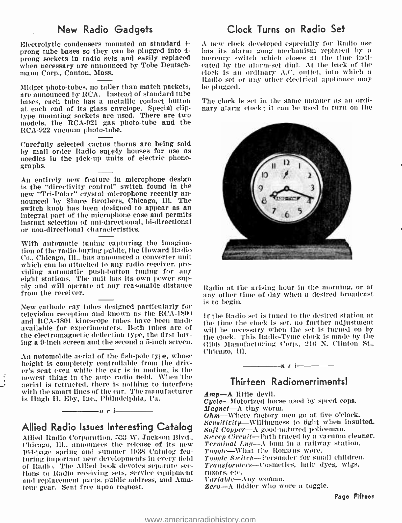Electrolytic condensers mounted on standard  $\frac{4}{100}$  A new clock developed especially for Radio use prong tube bases so they can be plugged into  $\frac{4}{100}$  has its alarm gong mechanism replaced by a prong tube bases so they can be plugged into 4 prong sockets in radio sets and easily replaced when necessary are announced by Tobe Deutsch-<br>mann Corp., Canton, Mass.

Midget photo- tubes, no taller than match packets, are announced by RCA. Instead of standard tube bases, each tube has a metallic contact button<br>at each end of its glass envelope. Special cliptype mounting sockets are used. There are two models, the RCA -921 gas photo -tube and the RCA -922 vacuum photo -tube.

Carefully selected cactus thorns are being sold by mail order Radio supply houses for use as needles in the pick -up units of electric phonographs.

An entirely new feature in microphone design<br>is the "directivity control" switch found in the new "Tri-Polar" crystal microphone recently an-<br>nounced by Shure Brothers, Chicago, Ill. The switch knob has been designed to appear as an integral part of the microphone case and permits instant selection of uni- directional, bi- directional or non -directional characteristics.

With automatic tuning capturing the imagination of the radio -buying public, the Howard Radio Co., Chicago, Ill., has announced a converter unit which can be attached to any radio receiver, providing antomatic push-button tuning for any eight stations. The unit has its own power supply and will operate at any reasonable distance from the receiver.

New cathode ray tubes designed particularly for television reception and known as the RCA -1300 and RCA-1801 kinescope tubes have been made available for experimenters. Both tubes are of the electromagnetic deflection type, the first having a 9 -inch screen and the second a 5 -inch screen.

An automobile aerial of the fish -pole type, whose height is completely controllable from the driver's seat even while the car is in motion, is the newest thing in the auto radio field. When 'the aerial is retracted, there is nothing to interfere with the smart lines of the car. The manufacturer is Hugh II. Eby, Inc., Philadelphia, Pa.

# Allied Radio Issues Interesting Catalog

 $n r$  i

Allied Radio Corporation, 533 W. Jackson Blvd., Chicago, III., announces the release of its new 164-page spring and summer 1938 Catalog featuring important new developments in every field of Radio. The Allied book devotes separate sec- *Transformers*—Cosmeticions to Radio receiving sets, service equipment razors, etc.<br>and replacement parts, public address, and Ama- *Variable*—Any woman. and replacement parts, public address, and Amateur gear. Sent free upon request.

# New Radio Gadgets Clock Turns on Radio Set

mercury switch which closes at the time indicated by the alarm -set dial. At the back of the clock is an ordinary- A.t'. outlet, into which a Radio set or any other electrical appliance may be plugged.

The clock is set in the sane manner as an ordinary alarm clock; it can be used to turn on the



Radio at the arising hour in the morning, or at any other time of day when a desired broadcast is to begin.

If the Radio set is tuned to the desired station at the time the clock is set, no further adjustment will be necessary when the set is turned on by the clock. This Radio -Tyne clock is made by the l:ibb Manufacturing Corp., 216 N. Clinton St., Chicago, Ill.



# Thirteen Radiomerriments!

Amp-A little devil.

Cycle-Motorized horse used by speed cops.<br>Magnet-A tiny worm.

 $Ohm$ —Where factory men go at five o'clock. Sensitivity-Willingness to fight when insulted. Soft Copper-A good-natured policeman. Sweep Circuit-Path traced by a vacuum cleaner. Terminal Lug—A bum in a railway station.<br>Toggle—What the Romans wore. Toggle Switch--Persuader for small children. Transformers- Cosmetics, hair dyes, wigs, razors, etc.

Zero---A fiddler who wore a toggle.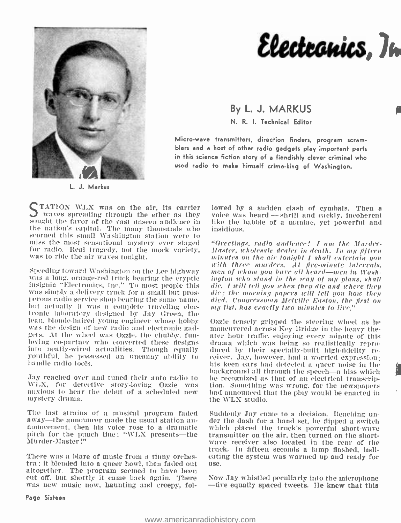

Electronics, In

By L. J. MARKUS N. R. I. Technical Editor

Micro -wave transmitters, direction finders, program scram- blers and a host of other radio gadgets play important parts in this science fiction story of a fiendishly clever criminal who used radio to make himself crime -king of Washington.

 $\int$  TATION WLX was on the air. its carrier lowed by a sudden clash of cymbals. Then a waves spreading through the ether as they voice was heard  $\rightarrow$  shrill and cackly, incoherent sought the favor of the vast unseen audie the nation's capital. The many thousands who scorned this small Washington station were to<br>miss the most sensational mystery ever staged "Greetings, radio audience! I am the Murderfor radio. Real tragedy, not the mock variety, was to ride the air waves tonight.

Speeding toward Washington on the Lee highway was a long. orange-red truck bearing the cryptic insignia "Electronics, Inc." To most people this was simply a delivery truck for a small but prosperous radio service shop bear but actually it was a complete traveling elecbut actually it was a complete traveling elec- *my list, has exactly two minutes to live,'*<br>tronic laboratory designed by Jay Green, the<br>lean, blonde-haired young engineer whose hobby - Ozzie tensely gripped the steering w was the design of new radio and electronic gad-<br>gets. At the wheel was Ozzie, the chubby, fun-<br>gets. At the wheel was Ozzie, the chubby, fun-<br>hoving co-partner who converted these designs are may which was being so realist hurdle radio tools.

WLX, for detective story -loving Ozzie was anxious to hear the debut of a scheduled new mystery drama.

The last strains of a musical program faded Suddenly Jay came to a decision. Reaching unaway—the announcer made the usual station an-<br>nouncement, then his voice rose to a dramatic which placed the truck's powerful short-wave pitch for the punch line: "WLX presents—the transmitter on the air, then turned on the short-<br>Murder-Master!" wave receiver also located in the rear of the Murder-Master!"

There was a blare of music from a tinny orches-There was a blare of music from a tinny orches-cating the system was warmed up and ready for tra; it blended into a queer howl, then faded out use. altogether. The program seemed to have been<br>eut off, but shortly it came back again. There Now Jay whistled peculiarly into the microphone eut off, but shortly it came back again. There was new music now, haunting and creepy, fol-

lowed by a sudden clash of cymbals. Then a like the babble of a maniac, yet powerful and insidious.

Master, wholesale dealer in death. In my fifteen<br>minutes on the air tonight I shall entertain you with three murders. At fire-minute intervals,<br>men of whom you hare all heard---men in Wash-<br>ington relo stand in the way of my plans, shall<br>die. I will tell you when they die and where they dic; the morning papers will tell you how they<br>died. Congressman Melville Easton, the first on

Jay reached over and tuned their auto radio to the recognized as that of an electrical transcrip-<br>WLX, for detective story-loving Ozzie was tion. Something was wrong, for the newspapers Ozzie tensely gripped the steering wheel as he maneuvered across Key Bridge in the heavy theater hour traffic, enjoying every minute of this drama which was being so realistically repro-<br>duced by their specially-built high-fidelity re-<br>ceiver. Jay, however, had a worried expression;<br>his keen ears had detected a queer noise in the background all through the speech—a hiss which he recognized as that of an electrical transcrip- tion. Something was wrong, for the newspapers had announced that the play would be enacted in the WLX studio.

> der the dash for a hand set, he flipped a switch. transmitter on the air, then turned on the shorttruck. In fifteen seconds a lamp flashed, indi-

> -five equally spaced tweets. He knew that this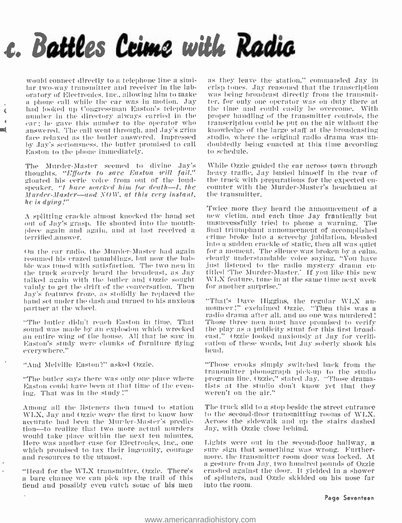# c. Battles Crime with Radia

would connect directly to a telephone line a similar two -way transmitter and receiver in the laboratory of Electronics, Inc., allowing him to make <sup>a</sup>phone call while the car was in motion. Jay had looked up Congressman Easton's telephone number in the directory always carried in the car; he gave this number to the operator who answered. The call went through, and Jay's grim — knowledge of the large staff at the broadcasting<br>face relaxed as the butler answered. Impressed — studio, where the original radio drama was unface relaxed as the butler answered. Impressed — studio, where the original radio drama was unlow that is the butler promised to call — doubtedly being enacted at this time according by .lay's seriousness. the butler promised to call Easton to the phone immediately.

 $\zeta$ 

The Murder-Master seemed to divine Jay's While Ozzie guided the car across town through thoughts. "Efforts to save Easton will fail." gloated his eerie voice from out of the loudspeaker. "I have marked him for death—I, the counter with the Murder-Master's henchmen at  $M$ urder- $M$ aster—and NOW, at this very instant, he is dying!"

<sup>A</sup>splitting crackle almost knocked the hand set out of Jay's grasp. He shouted into the mouth-<br>piece again and again, and at last received a<br>terrified answer.

On the car radio, the Murder -Master had again resumed his crazed nnunlrliugs, but now the babble was toned with satisfaction. The two men in — just listened to the radio mystery drama enthe truck scarcely heard the broadcast, as Jay — titled The Murder-Master." If you like this new talked again with the butler and Ozzie sought  $\parallel$  WLX feature, tune in at the same time next week vainly to get the drift of the conversation. Then  $\parallel$  for another surprise." .lay's features froze. as stolidly he replaced the hand set under the (lash and turned to his anxious partner at the wheel.

sound was made by an explosion which wrecked an entire wing of the house. All that he saw in Easton's study were chunks of furniture flying everywhere."

"And Melville Easton ?" asked Ozzie.

"The butler says there was only one place where Easton could have been at that time of the even- ing. That was in the study:"

Among all the listeners then tuned to station N'IA., Jay and Ozzie were the first to know how accurate had been the Murder- Master's predic- tion-to realize that two more actual murders would take place within the next ten minutes. Here was another case for Electronics, Inc., one which promised to tax their ingenuity, courage and resources to the utmost.

"Head for the W'LX transmitter. Ozzie. There's u bare chance we can pick up the trail of this fiend and possibly even catch some of his men

as they leave the station," commanded Jay in<br>crisp tones, Jay reasoned that the transcription was being broadcast directly from the transmitter, for only one operator was on duty there at the time and could easily be overcome. With proper handling of the transmitter controls, the transcription could be put on the air without the knowledge of the large staff at the broadcasting to schedule.

heavy traffic, Jay busied himself in the rear of the truck with preparations for the expected enthe transmitter.

Twice more they heard the announcement of a new victim, and each time Jay frantically but unsuccessfully tried to phone a warning. The crime broke into a screechy jubilation, blended<br>into a sudden crackle of static, then all was quiet for a moment. The silence was broken by a calm. clearly understandable voice saying, "You have titled 'The Murder-Master.' If you like this new for another surprise."

.<br>The butler didn't reach Easton in time. That — Those three men must have promised to verify. nouncer!" exclaimed Ozzie. "Then this was a the play as a publicity stunt for this first broadcast." c)zzie looked anxiously at Jay for verification of these words, but Jay soberly shook his head.

> "Those crooks simply- switched back from the transmitter phonograph pick -up to the studio program line, Ozzie," stated Jay. "Those dramatists at the studio don't know yet that they weren't on the air."

> The truck slid to a stop beside the street entrance to the second -floor transmitting rooms of WLX. Across the sidewalk and up the stairs dashed Jay, with Ozzie close behind.

> Lights were out in the second-floor hallway, a sure sign that something was wrong. Further-<br>more. the transmitter room door was locked. At<br>a gesture from Jay, two hundred pounds of Ozzie crashed against the door. It yielded in a shower of splinters, uud Ozzie skidded ou his nose fur into the room.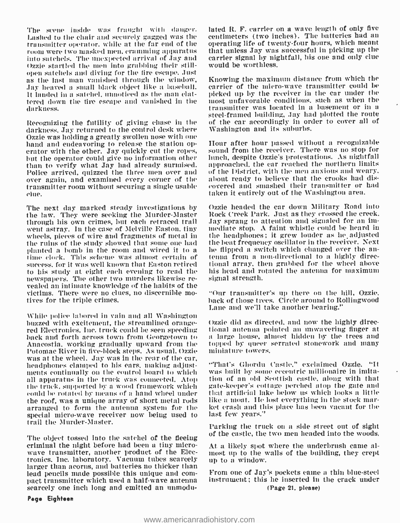Lashed to the chair and securely gagged was the room were two masked men. cramming apparatus into satchels. The unexpected arrival of Jay and Ozzie startled the men into grabbing their stillopen satchels autd diving for the tire escape. Just as the Last man vanished through the window, .lay heaved a small black object like a baseball. It landed in a satchel, unnoticed as the man chattered down the tire escape and vanished in the — most unfavorable conditions, such as when the<br>darkness, transmitter was located in a basement or in a darkness.

Recognizing the futility of giving chase in the darkness, Jay returned to the control desk where<br>Ozzie was holding a greatly swollen nose with one hand and endeavoring to release the station operator with the other. Jay quickly cut the ropes, but the operator could give no information other than to verify what Jay had already surmised. Police arrived, quizzed the three men over and over again, and examined every corner of the transmitter room without securing a single usable — covered and smashed their transmitter or<br>- taken it entirely out of the Washington area. clue.

The next day marked steady investigations by the law. They were seeking the Murder-Master through his own crimes, but each retraced trail went astray. In the case of Melville Easton, tiny wheels, pieces of wire and fragments of metal in the ruins of the study showed that some one had planted a bomb in the room and wired it to a he flipped a switch which changed over the antime clock. This scheme was almost certain of tenna from a non-directional to a highly direcsuccess, for it was well known that Easton retired to his study at eight each evening to read the newspapers. The other two murders likewise re- vealed an intimate knowledge of the habits of the victims. There were no clues, no discernible mo- tives for the triple crimes.

While police labored in vain and all Washington red Electronics, Inc. truck could be seen speeding back and forth across town from Georgetown to Anacostia, working gradually upward from the Potomac River in five -block steps. As usual, Ozzie was at the wheel. Jay was in the rear of the car, headphones clamped to his ears. making adjustments continually on the control board to which was built by some eccentric millionaire in imitaall apparatus in the truck was connected. Atop the truck, supported by a wood framework which could he rotated by means of a hand wheel under the roof, was a unique array of short metal rods arranged to form the antenna system for the special micro -wave receiver now being used to trail the Murder- Master.

The object tossed Into the satchel of the fleeing criminal the night before had been a tiny microwave transmitter, another product of the Electronics, Inc. laboratory. Vacuum tubes scarcely larger than acorns, and batteries no thicker than<br>lead pencils made possible this unique and compact transmitter which used a half-wave antenna scarcely one inch long and emitted an unmodu-

Page Eighteen

The scene inside was fraught with danger. lated R. F. carrier on a wave length of only five<br>Lashed to the chair and securely gagged was the centimeters (two inches). The batteries had an lated R. F. carrier on a wave length of only five operating life of twenty-four hours, which meant that unless Jay was successful in picking up the carrier signal by nightfall, his one and only clue would be worthless.

> Knowing the maximum distance from which the carrier of the micro -wave transmitter could be picked up by the receiver in the car under the most unfavorable conditions, such as when the steel-framed building, Jay had plotted the route of the car accordingly in order to cover all of Washington and its suburbs.

> Hour after hour passed without a recognizable sound from the receiver. There was no stop for lunch, despite Ozzié s protestations. As nightfall approached, the car reached the northern limits of the District, with the men anxious and weary. about ready to believe that the crooks had discovered and smashed their transmitter or had

> Ozzie headed the car down Military Road into Rock Creek Park. Just as they crossed the creek. Jay sprang to attention and signaled for an immediate stop. A faint whistle could be heard in the headphones; it grew louder as he adjusted the beat frequency oscillator in the receiver. Next he flipped a switch which changed over the antional array, then grabbed for the wheel above his head and rotated the antenna for maximum signal strength.

> "Our transmitter's up there on the hill, Ozzie. hack of those trees. Circle around to Rollingwood Lane and we'll take another bearing."

> Ozzie did as directed, and now the highly directional antenna pointed an unwavering finger at a large house, almost hidden by the trees and topped by queer serrated stonework and many miniature towers.

> "That's Ghordu Castle." exclaimed Ozzie. "It tion of an old Scottish castle, along with that gate -keeper's cottage perched atop the gate and that artificial lake below us which looks a little like a moat. Ile lost everything in the stock market crash and this place has been vacant for the last few years."

> Parking the truck on a side street out of sight of the castle, the two men headed into the woods.

> At a likely spot where the underbrush came almost up to the walls of the building, they crept up to a window.

> From one of Jay's pockets came a thin blue -steel instrument; this he inserted in the crack under (Page 21, please)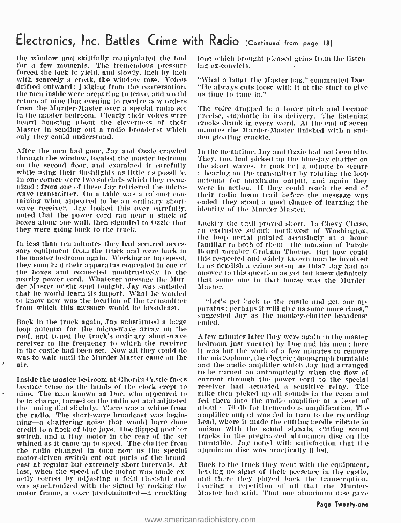# Electronics, Inc. Battles Crime with Radio (Continued from page 18)

the window and skillfully manipulated the tool for a few moments. The tremendous pressure forced the lock to yield, and slowly, inch by inch with scarcely a creak, the window rose. Voices drifted outward; judging from the conversation. "He always cuts loo<br>the men inside were preparing to leave, and would — us time to tune in." the men inside were preparing to leave, and would return at nine that evening to receive new orders from the Murder-Master over a special radio set The voice dropped to a lower pitch and became<br>in the master bedroom. Clearly their voices were precise, emphatic in its delivery. The listening in the master bedroom. Clearly their voices were precise, emphatic in its delivery. The listening<br>heard boasting about the cleverness of their crooks drank in every word. At the end of seven<br>Master in sending out a radio b Master in sending out a radio broadcast which only they could understand.

After the men had gone, Jay and Ozzie crawled through the window, located the master bedroom on the second floor, and examined it carefully while using their flashlights as little as possible. in one corner were two satchels which they recognized; from one of these Jay retrieved the microscovere in action. If they could reach the end of wave transmitter. On a table was a cabinet considering their radio beam trail before the message was taining what appeared t boxes along one wall, then signaled to Ozzie that Luckily the trail proved short. In Chevy Chase, they were going back to the truck.

the master bedroom again. Working at top speed. they soon had their apparatus concealed in one of him as fiendish a crime set-up as this? Jay had no<br>the boxes and connected unobtrusively to the hanswer to this question as yet but knew definitely the boxes and connected unobtrusively to the – answer-to-this-question as yet but knew definitely nearby power-cord. Whatever message the Mur- – that some one in that house was the Murdernearby power cord. Whatever message the Murder- Master might send tonight, Jay was satisfied that he would learn its import. What he wanted to know now was the location of the transmitter from which this message would be broadcast.

loop antenna for the micro-wave array on the<br>roof, and tuned the truck's ordinary short-wave receiver to the frequency to which the receiver - bedroom just vacated by Doe and his men; here<br>in the castle had been set. Now all they could do - it was but the work of a few minutes to remove was to wait until the Murder-Master came on the air.

Inside the master bedroom at Ghordu Castle faces eurrent through the power cord to the special became tense as the hands of the clock crept to nine. The man known as Doc, who appeared to — mike then picked up all sounds in the room and be in charge, turned on the radio set and adjusted — fed them into the audio amplifier at a level of the tuning dial slightly. There was a whine from the radio. The short-wave broadcast was begin-complifier output was fed in turn to the recording<br>ning—a chattering noise that would have donecthead, where it made the cutting needle vibrate in credit to a flock of blue -jays. Doc flipped another switch, and a tiny motor in the rear of the set whined as it came up to speed. The chatter from the radio changed in tone now as the special east at regular but extremely short intervals. At Back to the truck they went with the equipment, last, when the speed of the motor was made ex- leaving no signs of their presence in the castle, actly correct by adjusting a field rheostat and and there they played back the transcription, was synchronized with the signal by rocking the alloaring a repetition of all that the Murdermotor frame, a voice predominated—a crackling

tone which brought pleased grins from the listening ex- convicts.

"\'hat a laugh the Master has," commented Doc. "He always cuts loose with it at the start to give

The voice dropped to a lower pitch and became erooks drank in every word. At the end of seven den gloating crackle.

In the meantime, Jay and Ozzie had not been idle.<br>They, too, had picked up the blue-jay chatter on the short waves. It took but a minute to secure a bearing on the transmitter by rotating the loop antenna for maximum output, and again they their radio beam trail before the message was identity of the Murder-Master.

the loop aerial pointed accusingly at a home<br>In less than ten minutes they had secured neces- — familiar to both of them—the mansion of Parole<br>Sary equipment from the truck and were back in — Board member Graham Thorne. Bu an exclusive suburb northwest of Washington, familiar to both of them—the mansion of Parole Board member Graham Thorne. But how could this respected and widely known man be involved in as fiendish a crime set-up as this? Jay had no Ma ster.

suggested Jay as the monkey-chatter broadcast<br>Back in the truck again, Jay substituted a large ended. paratus ; perhaps it will give us some more clues." ended.

> A few minutes later they were again in the master bedroom just vacated by Doc and his men ; here the microphone, the electric phonograph turntable and the audio amplifier which Jay had arranged to be turned on automatically when the flow of receiver had actuated a sensitive relay. The mike then picked up all sounds in the room and about  $-70$  db for tremendous amplification. The amplifier output was fed in turn to the recording unison with the sound signals, cutting sound tracks in the pregrooved aluminum disc on the turntable. Tay noted with satisfaction that the aluminum dise was practically filled.

> Master had said. That one aluminum disc gave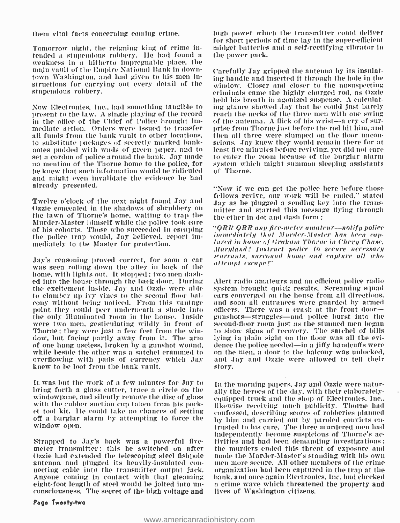them vital facts concerning coning crime.

Tomorrow night, the reigning king of crime intended a stupendous robbery. IIe liad found a weakness in a hitherto impregnable place, the tnafn vault of the Empire National Bank in downtown Washington, and had given to his men instructions for carrying out every detail of the stupendous robbery.

Now Electronics, Inc., had something tangible to present to the law. A single playing of the record in the office of the Chief of Police brought immediate action. Orders were issued to transfer – prise from Thorne just before the rod hit him, and<br>all funds from the bank vault to other locations. – then all three were slumped on the floor unconall funds from the bank vault to other locations. to substitute packages of secretly marked banknotes padded with wads of green paper, and to – least five minutes before reviving, yet did not care<br>set a cordon of police around the bank. Jay made – to enter the room because of the burglar alarm set a cordon of police around the bank. Jay made no mention of the Thorne home to the police, for he knew that such information would be ridiculed and might even invalidate the evidence he had already presented.

Twelve o'clock of the next night found Jay and Ozzie concealed in the shadows of shrubbery on the lawn of Thorne's home, waiting to trap the either and started this message. Murder-Master himself while the police took care of his cohorts. Those who succeeded in escaping  $\sqrt[4]{QRR}$  QRR any fire-meter amateur—notify police<br>the police tran would. Lay believed, report im a immediately that Murder-Master has been capthe police trap would, Jay believed, report immediately to the Master for protection.

Jay's reasoning proved correct, for soon a car was seen rolling down the alley in back of the home, with lights out. It stopped ; two men dashed into the house through the back door. During the excitement inside. Jay and Ozzie were able to clamber up ivy vines to the second floor bal-<br>cony without being noticed. From this vantage point they could peer underneath a shade into officers. There was a crash at the front door—<br>the only illuminated room in the house. Inside gunshots—struggles—and police burst into the were two men, gesticulating wildly in front of Thorne; they were just a few feet from the window, but facing partly away from it. The arm shing in plain sight on the floor was all the evior one hung useless, broken by a gunshot wound, she denote he police needed—in a jiffy handcuffs were while beside the other was a satchel crammed to overflowing with pads of currency which Jay knew to be loot from the bank vault.

It was but the work of a few minutes for Jay to bring forth a glass cutter, trace a circle on the windowpane, and silently remove the disc of glass with the rubber suction cup taken from his pocket tool kit. IIe could take no chances of setting off a burglar alarm by attempting to force the window open.

Ozzie had extended the telescoping steel fishpole — made the Murder-Master's standing with his own<br>antenna and plugged its heavily-insulated con- — men more secure. All other members of the crime necting cable into the transmitter output jack. Anyone coming in contact with that gleaming eight -foot length of steel would be jolted into un- consciousness. The secret of the high voltage and

high power which the transmitter could deliver for short periods of time lay in the super -efficient midget batteries and a self -rectifying vibrator in the power pack.

Carefully Jay gripped the antenna by its insulating handle and inserted it through the hole in the window. Closer and closer to the unsuspecting criminals came the highly charged rod, as Ozzie held his breath in agonized suspense. A calculating glance showed Jay that he could just barely reach the necks of the three men with one swing of the antenna. A flick of his wrist-a cry of surscious. Jay knew they would remain there for at least five minutes before reviving, yet did not care system which might summon sleeping assistants of Thorne.

"Now If we can get the police here before those fellows revive, our work will be ended," stated Jay as he plugged a sending key into the transmitter and started this message flying through

"ORR QRR any fire-meter amateur---notify police tured in home of Graham Thorne in Chevy Chase. rearrants, surround home and capture all who attempt exeape!"

Alert radio amateurs and an efficient police radio system brought quick results. Screaming squad cars converged on the house from all directions. and soon all entrances were guarded by armed officers. There was a crash at the front door gunshots-struggles-and police burst into the second-floor room just as the stunned men began to show signs of recovery. The satchel of bills lying in plain sight on the floor was all the evion the men, a door to the balcony was unlocked. and Jay and Ozzie were allowed to tell their story.

independently become suspicious of Thorne's ac-<br>Strapped to Jay's back was a powerful five- —tivities and had been demanding investigations :<br>meter transmitter : this he switched on after —the murders ended this threat of In the morning papers. Jay and Ozzie were naturally the heroes of the day. with their elaborately - equipped truck and the shop of Electronics, Inc.. likewise receiving much publicity. Thorne had confessed, describing scores of robberies planned by him and carried out by paroled convicts en- trusted to his care. The three murdered men had the murders ended this threat of exposure and made the Murder-Master's standing with his own organization had been captured in the trap at the bank, and once again Electronics, Inc. had checked a crime wave which threatened the property and lives of Washington citizens.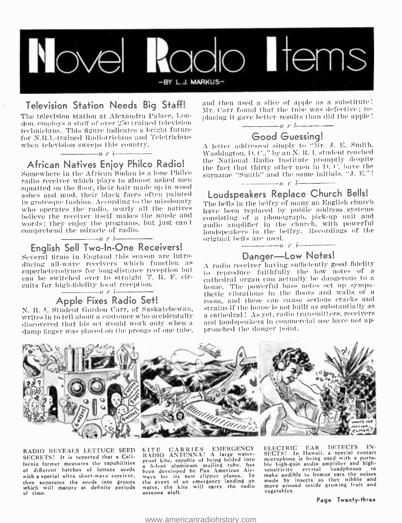

Television Station Needs Big Staff! an The television station at Alexandra Palace, Lon-<br>don. employs a staff of over 250 trained television<br>technicians. This figure indicates a bright future The television station at Alexandra Palace, Lontechnicians. This figure indicates a bright future for N.R.I.-trained Radiotricians and Teletricians when television sweeps this country.

### $\rightarrow$ *i* r i $\rightarrow$ African Natives Enjoy Philco Radio!

Somewhere hi the African Sudan is a lone Philco squatted on the floor, their hair made up in wood ashes and mud, their black faces often painted in grotesgme fashion. According to the missionary who operates the radio, nearly all the natives believe the receiver itself makes the music and words; they enjoy the programs, but just can't comprehend the miracle of radio.

#### $\frac{1}{\sqrt{1-\frac{1}{\sqrt{1-\frac{1}{\sqrt{1-\frac{1}{\sqrt{1-\frac{1}{\sqrt{1-\frac{1}{\sqrt{1-\frac{1}{\sqrt{1-\frac{1}{\sqrt{1-\frac{1}{\sqrt{1-\frac{1}{\sqrt{1-\frac{1}{\sqrt{1-\frac{1}{\sqrt{1-\frac{1}{\sqrt{1-\frac{1}{\sqrt{1-\frac{1}{\sqrt{1-\frac{1}{\sqrt{1-\frac{1}{\sqrt{1-\frac{1}{\sqrt{1-\frac{1}{\sqrt{1-\frac{1}{\sqrt{1-\frac{1}{\sqrt{1-\frac{1}{\sqrt{1-\frac{1}{\sqrt{1-\frac{1}{\sqrt{1-\frac{1$ English Sell Two -In -One Receivers!

Several firms in England this season are introsuperheterodynes for long-distance reception but can be switched over to straight T. R. F. circuits for high -fidelity local reception.

# $A$ pple Fixes Radio Set!

writes in to tell about a customer who accidentally<br>discovered that his set would work only when a damp finger was placed on the prongs of one tube.

and then used a slice of apple as a substitute!<br>Mr. Carr found that the tube was defective; replacing it gave better results than did the apple!

### $n r$  i Good Guessing!

.\ letter addressed) simply to ''Mr. .1. E. Smith, Washington. D. C.." by an N. R. I. student reached the National Radio Institute promptly despite the fact that thirty other men in D. C. have the surname "Smith" and the same initials, "J. E."!

# Loudspeakers Replace Church Bells!

The bells in the belfry of ninny an English church have been replaced by public address systems consisting of a phonograph, pick -up unit and audio amplifier in the church, with powerful loudspeakers in the belfry. Recordings of the original bells are used.

### $\frac{1}{1}$ n r i $\frac{1}{1}$ Danger-Low Notes!

N. R. J. Student Gordon Carr, of Saskatchewan, strains if the house is not built as substantially as <sup>A</sup>radio receiver having sufficiently good fidelity eathedral organ can actually be dangerous to a home. The powerful bass notes set up sympathetic vibrations in the floors and walls of a room, and these can cause serious cracks and a cathedral! As yet, radio transmitters, receivers and loudspeakers in commercial use have not approached the danger point.



RADIO REVEALS LETTUCE SEED SECRETS! It is reported that a California farmer measures the capabilities of different batches of lettuce seeds with a special ultra short -wave receiver, then separates the seeds into groups which will mature at definite periods of time.

KITE CARRIES EMERGENCY EL<br>RADIO ANTENNA! A large water- SE<br>proof kite, capable of being folded into <sup>a</sup><sup>6</sup>-foot aluminum mailing tube, has been developed by Pan American Airways for its new clipper planes. In ma<br>the event of an emergency landing on ma<br>water, the kite will carry the radio mo<br>antenna aloft.

ELECTRIC EAR DETECTS IN-<br>SECTS! In Hawaii, a special contact<br>microphone is being used with a porta-<br>ble high-gain audio amplifier and high-<br>sensitivity crystal headphones to<br>make audible to human ears the noises<br>made by in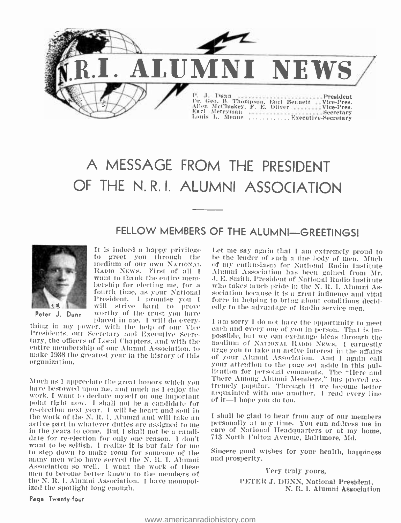

# A MESSAGE FROM THE PRESIDENT OF THE N. R. I. ALUMNI ASSOCIATION

# FELLOW MEMBERS OF THE ALUMNI-GREETINGS!



Peter J. Dunn worthy of the trust you have<br>placed in me. I will do every-It is indeed a happy privilege to greet you through the will strive hard to prove edly to the advantage of Radio service men,<br>worthy of the trust you have<br>placed in me. I will do every- I am sorry I do not have the opportunity to meet

thing in my power, with the help of our Vice Presidents, our Secretary and Executive Secrethe officers of Local Chapters, and with the entire medium of NATIONAL RADIO NEWS. I earnestly entire membership of our Alumni Association, to any entire membership of our Alumni Association, to any expound to take an acti make 1938 the greatest year in the history of this organization.

work, I want to dechne myself on one important point right now. I shall not he a candidate finre-election next year. I will be heart and soul in active part in whatever duties are assigned to me<br>in the years to come. But I shall not be a candidate for re-election for only one reason. I don't want to be selfish. I realize it is but fair for me<br>to step down to make room for someone of the Sincere good w<br>many men who have served the N–R–T–Alumni — and prosperity. many men who have served the N. R. I. Alumni Association so well. I want the work of these men to become better known to the members of the N. R. I. Alumni Association. I have monopol- ized the spotlight long enough.

medium of our own NATIONAL of my enthusiasm for National Radio Institute<br>RADIO NEWS. First of all I Alumni Association has been gained from Mr. RADIO NEWS. First of all I – Alumni Association has been gained from Mr.<br>want to thank the entire mem- – J. E. Smith, President of National Radio Institute bership for electing me, for a such takes much pride in the N, R, I, Alumni As-<br>fourth time, as your National sociation because it is a great influence and vital President. I promise you I force in helping to bring about conditions d will strive hard to prove edly to the advantage of Radio service men. Let me say again that I am extremely proud to be the leader of such a tine body of men. Much of my enthusiasm for National Radio Institute force in helping to bring about conditions decidedly to the advantage of Radio service men.<br>I am sorry I do not have the opportunity to meet each and every one of you in person. That is im-

Much as I appreciate the great honors which you have bestowed upon me. and much as I enjoy the tremely popular. Through it we become better of your Alumni Association. And I again call lication for personal comments. The "Here and<br>There Among Alumni Members," has proved ex-<br>tremely popular. Through it we become better<br>acquainted with one another. I read every line<br>of it—I hope you do too. acquainted with one another. I read every line

> <sup>I</sup>shall be glad to hear from any of our members care of National Headquarters or at my home. 713 North Fulton Avenue, Baltimore, Md.

> Sincere good wishes for your health, happiness

Very truly yours,

PETER J. DUNN, National President, N. R. I. Alumni Association

Page Twenty -four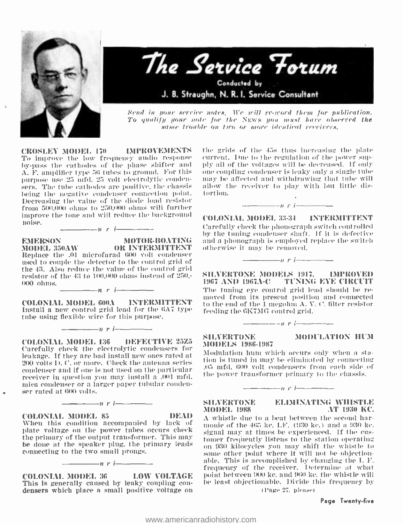

Ñ,



Send in your serriee notes. We will re -word them for publication. To qualify your note for the NEWS you must hare obxerred the snore trouble ou two or more identical reeeirers.

CROSLEY MODEL 170 IMPROVEMENTS To improve the low frequency audio response – current. Due to the regulation of the power sup-<br>by-ness the cathodes of the phase shifter and – ply all of the voltages will be decreased. If only by -pass the cathodes of the phase shifter anal A. F. amplifier type 56 tubes to ground. For this sers. The tube cathodes are positive, the chassis being the negative condenser connection pout. Decreasing the value of the diode load resister from 500,000 ohms to 250,000 ohms will further improve the tone anal will reduce the background

 $\frac{1}{\sqrt{1-\frac{1}{2}}}\frac{1}{\sqrt{1-\frac{1}{2}}}\frac{1}{\sqrt{1-\frac{1}{2}}}\frac{1}{\sqrt{1-\frac{1}{2}}}\frac{1}{\sqrt{1-\frac{1}{2}}}\frac{1}{\sqrt{1-\frac{1}{2}}}\frac{1}{\sqrt{1-\frac{1}{2}}}\frac{1}{\sqrt{1-\frac{1}{2}}}\frac{1}{\sqrt{1-\frac{1}{2}}}\frac{1}{\sqrt{1-\frac{1}{2}}}\frac{1}{\sqrt{1-\frac{1}{2}}}\frac{1}{\sqrt{1-\frac{1}{2}}}\frac{1}{\sqrt{1-\frac{1}{2}}}\frac{1}{\sqrt{1-\frac{$ 

EMERSON MOTOR-BOATING<br>MODEL 350AW OR INTERMITTENT

MODEL 350AW Replace the .01 microfarad 600 volt condenser used to couple the detector to the control grid of the 43. Also reduce the value of the control grid resistor of the 43 to 100,000 ohms instead of 250.- 000 ohms.  $\frac{m}{2}$  r i

COLONIAL MODEL 600A INTERMITTENT Install a new control grid lead for the 6A7 type tube using flexible wire for this purpose.

 $\frac{1}{\sqrt{1-\frac{1}{n}}}\frac{1}{\sqrt{1-\frac{1}{n}}}\frac{1}{\sqrt{1-\frac{1}{n}}}\frac{1}{\sqrt{1-\frac{1}{n}}}\frac{1}{\sqrt{1-\frac{1}{n}}}\frac{1}{\sqrt{1-\frac{1}{n}}}\frac{1}{\sqrt{1-\frac{1}{n}}}\frac{1}{\sqrt{1-\frac{1}{n}}}\frac{1}{\sqrt{1-\frac{1}{n}}}\frac{1}{\sqrt{1-\frac{1}{n}}}\frac{1}{\sqrt{1-\frac{1}{n}}}\frac{1}{\sqrt{1-\frac{1}{n}}}\frac{1}{\sqrt{1-\frac{1}{n}}}\frac{1}{\sqrt{1-\frac{$ 

COLONIAL MODEL 136 DEFECTIVE 25Z5 SILVERTONE Carefully check the electrolytic condensers for leakage. If they are bad install new ones rated at 200 volts D. C. or more. Check the antenna series receiver in question you may install a .001 mfd. mica condenser or a larger paper tubular emulen- ser rated at 600 volts.

 $\longrightarrow$  r i  $\longrightarrow$ 

COLONIAL MODEL 85 DEAD When this condition accompanied by lack of plate voltage on the power tubes occurs check connecting to the two small prongs.

COLONIAL MOI)EL 36 LOW VOLTAGE This is generally caused by leaky coupling con- densers which place a small positive voltage on

 $n r$  i  $-$ 

the grids of the 45s thus increasing the plate current. Due to the regulation of the power supone coupling-condenser is leaky only a single tube. may be affected and withdrawing that tube will allow the receiver to play with but little distortion.

 $n \rightarrow n$  r i

COLONIAL MODEL 33-34 INTERMITTENT Carefully check the phonograph switch controlled by the tuning condenser shaft. If it is defective and a phonograph is employed replace the switch otherwise it may be removed.

 $\cdots$  is the set of  $\cdots$ 

SILVERTONE MODELS 1917. IMPROVED 1967 AND 1967A-C TUNING EYE CIRCUIT<br>The tuning eye control grid lead should be removed from its present position and connected to the end of the  $1$  megolim A. V. C. filter resistor feeding the 6K7MIG control grid.

# $n r$  i  $-$

# MODELS 1986 -1987

MODULATION HUM

Modulation hunt which occurs only when a station is tuned in may be eliminated by connecting .05 mfd. 600 volt condensers from each side of the power transformer primary to the chassis.

#### $+$   $+$   $+$   $-$

# **MODEL 1988**

SILVERTONE ELIMINATING WHISTLE<br>MODEL 1988 MT 1930 KC.

the primary of the output transformer. This may chomer frequently listens to the station operating be done at the speaker plug, the primary leads A whistle due to a beat between the second harmonic of the 465 kc. LF. (930 kc.) and a 930 kc. signal may at times be experienced. If the cus-<br>tomer frequently listens to the station operating<br>on 930 kilocycles you may shift the whistle to<br>some other point where it will not be objectionable. This is accomplished by changing the  $I$ . F. frequency of the receiver. Determine at what point between 900 kc. and 960 kc. the whistle will be least objectionable. Divide this frequency by

(Page 27, please)

#### Page Twenty-five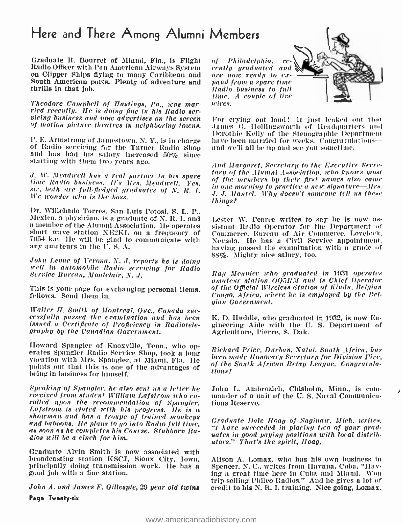# Here and There Among Alumni Members

Graduate R. Bourret of Miami, Fla., is Flight of Philadelphia. re-Radio Officer with Pan American Airways System cently graduated and on Clipper Ships flying to many Caribbean and are now ready to ex-South American ports. Plenty of adventure and thrills in that job.

Theodore Campbell of Hastings, Pa., was mar-<br>ried recently. Ile is doing fine in his Radio ser-<br>vicing business and now advertises on the screen<br>of motion picture theatres in neighboring towns.

P. E. Armstrong of Jamestown, N. Y., is in charge of Radio servicing for the Turner Radio Shop and has had his salary increased 50% since starting with them two years ago.

We wonder who is the boss.

Dr. Willehado Torres. San Luis Potosi, S. L. P.. Mexico, a physician, is a graduate of N. R. I. and — Lester W. Pearce writes to say he is now as-<br>a member of the Alumni Association. He operates — sistant -Radio -Operator for the -Department of short wave station NE2KL o 7054 k.c. IIe will be glad to communicate with any amateurs in the U. S. A.

John Leone of Verona, N. J. reports he is doing<br>well in automobile Radio servicing for Radio Service Bureau, Montclair, N. J.

This is your page for exchanging personal items, fellows. Send them in.

Walter 11. Smith of Montreal, Que., Canada suc- cessfully passed the examination and lias been issued a Certificate of Proficiency in Radiotele- graphy by the Canadian Government.

Howard Spangler of Knoxville, Tenn., who operates Spangler Radio Service Shop, took a long vacation with Mrs. Spangler, at Miami, Fla. 11e points out that this is one of the advantages of  $\frac{dy}{tions}$ being in business for himself.

Speaking of Spangler, he also sent us a letter he John L. Ambrozich, Chisholm, Minn., is com-<br>received from student William Lafstrom who en- mander of a unit of the U.S. Naval Communicarolled upon the recommendation of Spangler.<br>Lafstrom is clated with his progress. He is a showman and has a troupe of trained monkeys and baboons. He plans to go into Radio full time, as soon as he completes his Course. Stubborn Radios will be a cinch for him.

Graduate Alvin Smith is now associated with broadcasting station KSCJ. Sioux City, Iowa, principally doing transmission work. IIe has a good job with a fine station.

John A. and James F. Gillespie, 29 year old twins Page Twenty-six

of Philadelphia. re- cently graduated and pand from a spare time Radio business to full time. A couple of live wires.



For crying out loud ! It just leaked out Ihat James G. Hollingsworth of headquarters anal Dorothie Kelly of the Stenographic Department have been married for weeks. Congratulations - - aud we'll all be up and see you sometime.

1. W. Meadwell has a real partner in his spare time and the members by their first names also came<br>time Radio business. It's Mrs. Meadwell. Yes, the mean worning to practice a new signature—Mrs.<br>sir, both are full-fiedged And Margaret, Secretary to the Executive Secretary of the Alumni Association, who knows most of the members by their first names also came .1..1. Mantel. Why doesn't someone tell us these things I

> sistant Radio Operator for the Department of Commerce. Bureau of Air Commerce, Lovelock. Nevada. IIe has a Civil Service appointment. having passed the examination with a grade of 88%. Mighty nice salary, too.

> Ray Meunier who graduated in 1931 operates amateur station OQSR.lI and is Chief Operator of the Official Wireless Station of Kindu, Belgian Congo, Africa, where he is employed by the Belgian Government.

> K. D. Huddle, who graduated in 1932, is now Engineering Aide with the U. S. Department of Agriculture, l'ierre, S. Dak.

> Richard Price, Durban, Natal, South Africa, has been made Honorary Secretary for Division Five. of the South African Relay League. Congratula-

> John L. Ambrozich, Chisholm, Minn., is comtions Reserve.

> Graduate Dale Hoag of Saginaw, Mich. writes. "I bare succeeded in placing two of your graduates in good paying positions with local distributors." That's the spirit, Hoag.

> Alison A. Lomax, who has his own business In Spencer, N. C., writes from Havana, Cuba, "Having a great time here in Cuba and Miami. Won trip selling Philco Radios." And he gives a lot of credit to his N. R. I. training. Nice going, Lomax.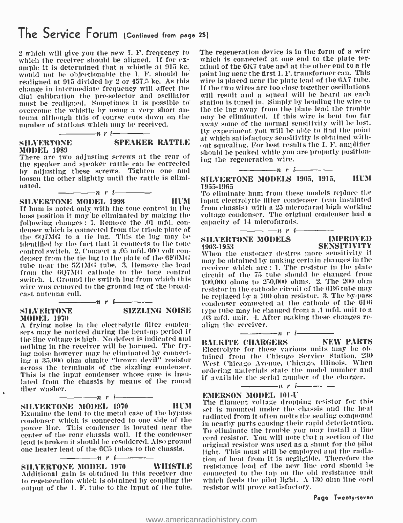# The Service Forum (Continued from page 25)

2 which will give you the new I. F. frequency to which the receiver should be aligned. If for  $e^{-\frac{1}{2}t}$ ample it is determined that a whistle at 915 ke. would not he objectionable the I. F. should be realigned at 915 divided by 2 or 457.5 kc. As this change in intermediate frequency will affect the dial calibration the pre-selector and oscillator<br>must be realigned. Sometimes it is possible to overcome the whistle by using a very short an-<br>tenna although this of course cuts down on the number of stations which may be received.

# MODEL 1989

# SILVERTONE SPEAKER RATTLE

There are two adjusting screws at the rear of the speaker and speaker rattle can be corrected by adjusting these screws. Tighten one and loosen the other slightly until the rattle is eliminated.

 $\frac{1}{\sqrt{n}}$  r i-

# $\frac{1}{\sqrt{1-\frac{1}{\sqrt{1-\frac{1}{\sqrt{1-\frac{1}{\sqrt{1-\frac{1}{\sqrt{1-\frac{1}{\sqrt{1-\frac{1}{\sqrt{1-\frac{1}{\sqrt{1-\frac{1}{\sqrt{1-\frac{1}{\sqrt{1-\frac{1}{\sqrt{1-\frac{1}{\sqrt{1-\frac{1}{\sqrt{1-\frac{1}{\sqrt{1-\frac{1}{\sqrt{1-\frac{1}{\sqrt{1-\frac{1}{\sqrt{1-\frac{1}{\sqrt{1-\frac{1}{\sqrt{1-\frac{1}{\sqrt{1-\frac{1}{\sqrt{1-\frac{1}{\sqrt{1-\frac{1}{\sqrt{1-\frac{1}{\sqrt{1-\frac{1$

If hum is noted only with the tone control in the bass position it may be eliminated by making the - voltage condenser. The orig<br>following changes : 1. Remove the .01 mfd. con- - capacity of 14 microfarads. denser which is connected from the triode plate of the 6Q711G to a tie lug. This tie lug may be identified by the fact that it connects to the tone 1903-1953 control switch. 2. Connect a .05 mfd. 600 volt con- denser from the tie lug to the plate of the 6F6MI1; tube near the 5Z4MG tube. 3. Remove the lead from the 6Q7IIG cathode to the tone control switch. 4. Ground the switch lug from which this wire was removed to the ground lug of the broadcast antenna coil.

 $\longrightarrow$ n r i

#### SILVERTONE MODEL 1970

A frying noise in the electrolytic filter condensers may be noticed during the heat -up period if the line voltage is high. No defect is indicated and nothing in the receiver will be harmed. The frying noise however may he eliminated by connecting a 35.000 ohm ohmite "brown devil" resistor across the terminals of the sizzling condenser. This is the input condenser whose case is insulated from the chassis by means of the round fiber washer.

# $n_r$  i  $n_r$  i  $n_r$  in the SILVERTONE MODEL 1970 11UM

Examine the lead to the metal case of the bypass condenser which is connected to one side of the power line. This condenser is located near the center of the rear chassis wall. If the condenser lead is broken it should he resoldered. Also ground one heater lead of the 6C5 tubes to the chassis.

SILVERTONE MODEL 1970 WHISTLE Additional gain is obtained in this receiver due to regeneration which is obtained by coupling the output of the I. F. tube to the input of the tube.

 $-n$  r i

The regeneration device is in the form of a wire which is connected at one end to the plate terminal of the 6K7 tube and at the other end to a tie point lug near the first I. F. transformer can. This wire is placed near the plate lead of the 6A7 tube. If the two wires are too close together oscillations will result and a squeal will be heard as each station is tuned in. Simply by bending the wire to the tie lug away from the plate lead the trouble may be eliminated. If this wire is bent too far away some of the normal sensitivity will be lost. By experiment you will be able to find the point at which satisfactory sensitivity is obtained without squealing. For best results the I. F. amplifier should be peaked while you are properly positioning the regeneration wire.

#### $-\hspace{-2.0cm}-\hspace{-0.1cm}n$  r i $-\hspace{-0.1cm}-\hspace{-0.1cm}-\hspace{-0.1cm}$ SILVERTONE MODELS 1905, 1915, HUM 1955 -1965

To eliminate hum from these models replace the input electrolytic filter condenser (can insulated front chassis) with a 25 microfarad high working voltage condenser. The original condenser had a



# SILVERTONE MODELS **IMPROVED**<br>1903-1953 **SENSITIVITY**

SIZZLING NOISE type tube may be changed from a .1 mfd. unit to a<br>.03 mfd. unit. 4. After making these changes re-1903 -1953 SENSITIVITY When the customer desires more sensitivity it may be obtained by making certain changes in the receiver which are : 1. The resistor in the plate circuit of the 75 tube should be changed from 100,000 ohms to 250,000 ohms. 2. The 210 ohm resistor in the cathode circuit of the 6116 tube may be replaced by a 100 ohm resistor. 3. The by -pass condenser connected at the cathode of the 6D6 type tube may be changed from a .1 mfd. unit to a .03 mfd. unit. 4. After making these changes re- align the receiver. n.ri

BALKITE CHARGERS Electrolyte for these various units may be obtained from the ('hicago Service Station. 230 West Chicago Avenue, Chicago, Illinois. When ordering materials state the model number and if available the serial number of the charger.

# EMERSON MODEL 101-U

The filament voltage dropping resistor for this set is mounted under the chassis and the heat radiated from it often melts the sealing compound in nearby parts causing their rapid deterioration. To eliminate the trouble you may install a line cord resistor. You will note that a section of the original resistor was used as a shunt for the pilot light. This must still be employed and the radiation of heat front it is negligible. Therefore the resistance lead of the new line cord should be connected to the tap on the old resistance unit which feeds the pilot light. A 130 ohm line cord resistor will prove satisfactory.

#### Page Twenty-seven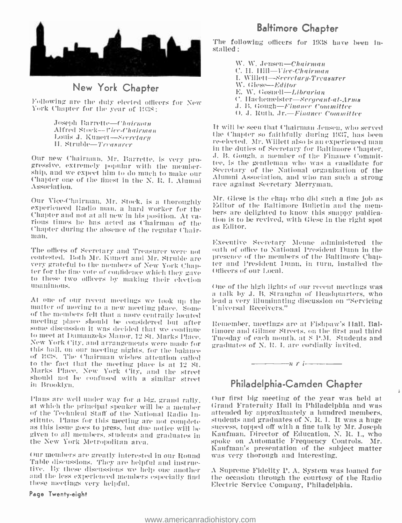

# New York Chapter

Following are the duly elected officers for New York Chapter for the year of 1938;

> Joseph Barrette-- Chairman<br>Alfred Stock--Fice-Chairman Louis J. Kunert-Neerctarn 11. Struble-Treasurer

Our new Chairman. Mr. Barrette, is very pro-<br>gressive, extremely popular with the member-<br>ship, and we expect him to do much to make our Chapter one of the finest in the N. R. I. Alumni Association.

Our Vice-Chairman, Mr. Stock, is a thoroughly<br>experienced Radio num, a hard worker for the<br>Chapter and not at all new in his position. At va-<br>rious times he has acted as Chairman of the<br>Chapter during the absence of the re

to these two officers by making their election<br>unanimous.

At one of our recent meetings we took up the lead a very illuminational<br>term of moving to a new meeting place. Some Universal Receivers." of the members felt that a more centrally located<br>meeting place, should the considered but, after some discussion it was decided that we continue<br>to meet at Damanzeks Manor, 12 St. Marks Place, New York City, and arrangements were made for this hall, on our meeting nights, for the balance of 1938. The Chairman wishes attention called to the fact that the meeting place is at 12 St. Marks Place. New York Pity, and the street should not be confused with a similar street in Brooklyn.

stitute. Plans for this meeting are not complete students and graduates of N. R. I. It was a huge as this issue goes to press, but due notice will be success, topped off with a fine talk by Mr. Joseph given to all members. students and graduates in the New York Metropolitan area.

Our members are greatly interested in our Round Table discussions. They are helpful and instructive. By these discussions we help one another and the less experienced members especially find these meetings very helpful.

#### Page Twenty-eight

# Baltimore Chapter

The following officers for 1938 have been installed:

> W. W. Jensen-Chairman C. H. Hill-Vice-Chairman I. Willett-Secretary-Treasurer W. Giese-Editor E. W. Gosnell-Librarian C. Hachemeister-Sergeant-al-Arms<br>J. B. Gough-Finance Committee O. J. Ruth, Jr.-Finance Committee

It will be seen that Chairman Jensen, who served<br>the Chapter so faithfully during 1937, has been re-elected. Mr. Willett also is an experienced man<br>in the duties of Secretary for Baltimore Chapter. .1. B. Gough. a member of the Finance Committee, is the gentleman who was a candidate for Secretary of the National organization of the Alumni Association, and who ran such a strong race against Secretary Merryman.

Mr. Giese is the chap who did such a fine job as Editor of the Baltimore Bulletin and the mem- bers are delighted to know this snappy publica- tion is to be revived, with Giese in the right spot as Editor.

Executive Secretary Menue administered the oath of office to National President Dunn in the presence of the members of the Baltimore Chapter and President Dunn, in turn, installed the Officers of our Local.

One of the high lights of our recent meetings was a talk by J. B. Straughn of Iieadquarters, who lead a very illuminating discussion on "Servicing

Remember, meetings are at Fishpaw's Hall. Baltimore and Gilnnor Streets. ou the first and third Tuesday of each month. ait S P.M. Students and graduates of N. R. I. am cordially invited.

# Philadelphia-Camden Chapter

 $t = \frac{1}{2}$ 

Plans are well under way for a big, grand rally. Our first big meeting ot the year was netd at at which the principal speaker will be a member. Grand Fraternity Hall in Philadelphia and was of the Technical Staff of the Na Our first big meeting of the year was held at Grand Fraternity Hall in Philadelphia and was students and graduates of N. R. I. It was a huge Kaufman, Director of Education, N. R. I., who spoke on Automatic Frequency Controls. Mr. Kaufman's presentation of the subject matter

> A Supreme Fidelity P. A. System was loaned for the occasion through the courtesy of the Radio Electric Service Company, Philadelphia.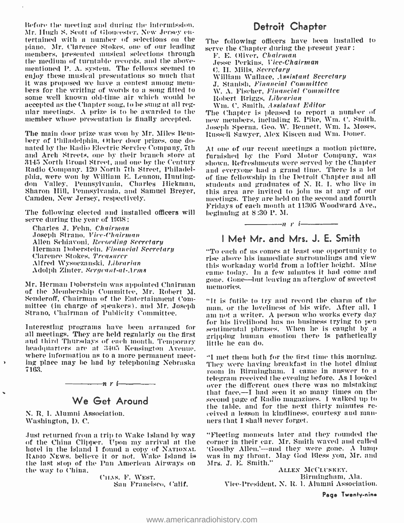Before the meeting and during the intermission. Mr. Ilttgh S. Scott of Gloucester. New Jersey en- tertained with a number of selections on the piano. Mr. Clarence Stokes, one of our leading serve the Chapter during the present year:<br>members, presented musical selections through  $\overline{F}$ , E. Oliver, Chairman members, presented musical selections through<br>the medium of turntable records, and the abovementioned P. A. system. The fellows seemed to enjoy these musical presentations so much that bers for the writing of words to a song fitted to some well known old-time air which would be accepted as the Chapter song, to be sung at all regular meetings. A prize is to be awarded to the The Chapter is pleased to report a number of member whose presentation is finally accepted.

The main door prize was won by Mr. Miles Bent-<br>bery of Philadelphia. Other door prizes, one donated by the Radio Electric Service Company, 7th At one of our recent meetings a motion picture,<br>and Arch Streets, one by their branch store at —furnished by the Ford Motor Company, was and Arch Streets, one by their branch store at Radio Company, 120 North 7th Street, Philadelphia, were won by William E. Lennon, Huntingdon Valley, Pennsylvania, Charles Hickman, Sharon Hill, Pennsylvania, and Samuel Breyer, this area are invited to join us at any of our camden, New Jersey, respectively. Camden, New Jersey, respectively.

The following elected and installed officers will serve during the year of 1938:

Charles J. Fehn, Cheirmen Joseph Strano. Vice-Chairman Allen Schiavoni, *Recording Secretary*<br>Herman Doberstein. Financial Secretary<br>Clarence Stokes, Treasurer Alfred Wysoczanski. Librarian Adolph Zinter. S*ergeant-at-Arms* 

Mr. Herman Doberstein was appointed Chairman of the Membership Committee, Mr. Robert M. Senderoff, Chairman of the Entertainment Committee (in charge of speakers), and Mr. Joseph Strano, Chairman of Publicity Committee.

all meetings. They are held regularly on the first and third Thursdays of each month. Temporary headquarters are at 34(i5 Kensington Avenue. where information as to a more permanent meeting place may be had by telephoning Nebraska 7163.

# $\frac{1}{\sqrt{n}}$ nri $\frac{1}{\sqrt{n}}$ We Get Around

N. R. I. Alumni Association, Washington, D. C.

 $\lambda$ 

of the China Clipper. Upon my arrival at the corner in their car. Mr. Smith waved and called<br>hotel in the island I found a copy of NATIONAL (Goodby Allen.'---and they were gone. A lump hotel in the island I found a copy of NATIONAL RADIO NEWS, believe it or not. Wake Island is the last stop of the Pan American Airways on the way to China.

CHAS. F. WEST. San Francisco, Calif.

# Detroit Chapter

The following officers have been installed to

Jesse Perkins. Vice-Chairman C. Ii. Mills, Secretary William Wallace, Assistant Secretary J. Stanish. Financial Committee W. A. Fischer, Financial Committee Robert Briggs, Librarian Wm. C. Smith, Assistant Editor

new members, including E. Pike, Wm. C. Smith. Joseph Sperna. Geo. W. Bennett. Wm. L. Moses, Russell Sawyer, Alex Kiscen and Wut. I)oner.

At one of our recent meetings a motion picture, shown. Refreshments were served by the Chapter and everyone had a grand time. There is a lot of fine fellowship in the Detroit Chapter and all students and graduates of N. R. I. who live in this area are invited to join us at any of our Fridays of each month at 11305 Woodward Ave., beginning at 8:30 P. M.



 $\frac{1}{r}$  r i-

"To each of ns comes at least one opportunity to rise above his immediate surroundings and view<br>this workaday world from a loftier height. Mine came today. In a few minutes it had come and gone. Gone---but leaving an afterglow of sweetest memories.

Interesting programs have been arranged for sentimental phrases. When he is eaught by a "It is futile to try and record the charm of the am not a writer. A person who works every day for his livelihood has no business trying to pen gripping human emotion there is pathetically

> "I met them both for the first time this morning. room in Birmingham. I came in answer to a<br>telegram received the evening before. As I looked<br>over the different ones there was no mistaking<br>that face,—I had seen it so many times on the second page of Radio magazines. I walked up to the table, and for the nest thirty minutes re- ceived a lesson in kindliness, courtesy and man- ners that I shall never forget.

Just returned from a trip to Wake Island by way "Fleeting moments later and they rounded the corner in their car. Mr. Smith waved and called was in my throat. May God Bless you, Mr. and Mrs. J. E. Smith."

ALLEN MCCLUSKET. Birmingham. Ala. \'ice -President, N. R. I. Alumni Association.

Page Twenty-nine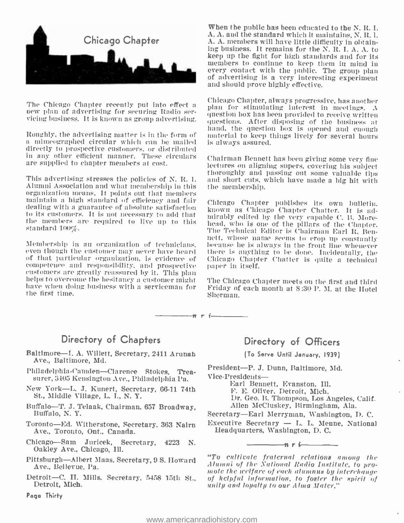

The Chicago Chapter recently put into effect a new plan of advertising for securing Radio ser- vicing business. It is known as group advertising.

directly to prospective customers, or distributed in any other efficient manner. These circulars are supplied to chapter members at cost.

Alumni Association and what membership in this organization means. It points out that members maintain a high standard of efficiency and fair dealing with a guarantee of absolute satisfaction to its customers. It is not necessary to add that initially edited by the very equable C. B. More-<br>the members are required to live up to this head, who is one of the pillars of the Chapter. the members are required to live up to this standard  $100\%$ .

of that particular organization, is evidence of customers are greatly reassured by it. This plan helps to overcome the hesitancy a customer might have when doing business with a serviceman for Friday of each month at 8:30 P. M, at the Hotel the first time. Sherman for S the first time.

## Directory of Chapters

- Baltimore-I. A. Willett, Secretary, 2411 Arunah Ave., Baltimore, Md.
- Philadelphia-Canden-Clarence Stokes, Treasurer, 3405 Kensington Ave., Philadelphia Pa.
- New York-L. J. Kunert, Secretary, 66-11 74th St., Middle Village, L. I., N. Y.
- Buffalo-T. J. Telaak, Chairman, 657 Broadway, Buffalo, N. Y.
- Ave., Toronto, Ont., Canada.
- Chicago—Sam Juricek, Secretary, 4223 N. Oakley Ave., Chicago, Ill.
- Pittsburgh- Albert Maas, Secretary, 9 S. Howard Ave., Bellevue, Pa.
- Detroit -C. H. Mills, Secretary, 5458 15th St., Detroit, Mich.

Page Thirty

When the public has been educated to the N. R. I. A. A. and the standard which it maintains, N. R. L A. A. members will have little difficulty in obtaining business. It remains for the N. R. I. A. A. to keep up the fight for high standards and for its members to continue to keep them in mind in<br>every contact with the public. The group plan of advertising is a very interesting experiment and should prove highly effective.

hand, the question box is opened and enough<br>Roughly, the advertising matter is in the form of a material to keep things lively for several hours<br>a mimeographed circular which can be mailed is always assured. Chicago Chapter, always progressive, has another plan for stimulating interest in meetings.  $\Lambda$ question box has been provided to receive written questions. After disposing of the business at material to keep things lively for several hours is always assured.

This advertising stresses the policies of N.R. I. and short cuts, which have made a big hit with Chairman Bennett has been giving some very fine thoroughly and passing out some valuable tips the membership.

Membership in an organization of technicians, hecause he is always in the front line whenever<br>even though the customer may never have heard — there is anything to be done. Incidentally, the Chicago Chapter publishes its own bulletin. known as Chicago Chapter Chatter. It is ad-The Technical Editor is Chairman Earl It. Benhecause he is always in the front line whenever there is anything to be done. Incidentally, the Chicago Chapter Chatter is quite a technical paper in itself.

The Chicago Chapter meets on the first and third

Directory of Officers

(To Serve Until January, 1939)

President-P. J. Dunn, Baltimore, Md. Vice-Presidents-

Earl Bennett, Evanston, Ill.

F. E. Oliver, Detroit, Mich.

 $\frac{1}{n}$   $\frac{1}{n}$ 

Dr. Geo. B. Thompson, Los Angeles, Calif. Allen McCluskey, BIrmingham, Ala.

Toronto-Ed. Witherstone, Secretary, 363 Nairn Executive Secretary - L. L. Menne, National Secretary—Earl Merryman, Washington, D. C.<br>Executive Secretary — L. L. Menne, National<br>Hoadquasters, Washington, D. C. Headquarters, Washington, D. C.

> "To cultivate fraternal relations among the Alumni of the National Radio Institute, to pro-<br>mote the welfare of each alumnus by interchange<br>of helpful information, to foster the spirit of of helpful information, to foster the spirit of<br>unity and loyalty to our Alma Mater."

 $\frac{1}{\sqrt{n}}$ n r i-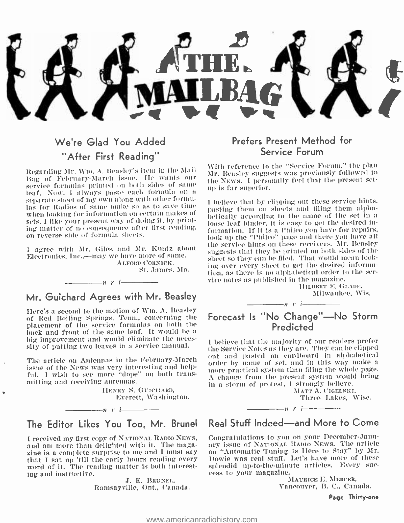

# We're Glad You Added "After First Reading"

Regarding Mr. Wm. A. Beasley's item in the Mail<br>Bag\_of\_February-March\_issue. He\_wants\_our service formulas printed on both sides of same<br>leaf. Now, 1 always paste each formula on a<br>separate sheet of my own along with other formulas for Radios of same make so as to save time when looking for information on certain makes of the particular on success and many of the set in a<br>sets. I like your present way of doing it, by primetic loose leaf binder, it is easy to get the desired insets. I like your present way of doing it, by printing matter of no consequence after first reading. on reverse side of formula sheets.

<sup>I</sup>agree with Mr. Giles and Mr. Kuntz about Electronics. Inc..----may we have more of same. ALFORD CORNICK. St. James. Mo.

## Mr. Guichard Agrees with Mr. Beasley

 $\frac{1}{n}$  r i

Here's a second to the motion of Wm. A. Beasley of Red Boiling Springs, Tenn., concerning the placement of the service formulas on both the back and front of the same leaf. It would be a big improvement and would eliminate the neces- sity of putting two leaves in a service manual.

The article on Antennas in the February March of the name of set, and in this way make a issue of the News was very interesting and helpful. I wish to see more "dope" on both transmitting and receiving antennas.

> HENRY S. GUICHARD, Everett, Washington.



 $-n$  r  $i$ 

and am more than delighted with it. The magazine is a complete surprise to me and I must say that I sat up 'till the early hours reading every word of it. The reading matter is both interesting and instructive.

J. E. BRUNEL, Ramsayville, Ont.. Canada.

# Prefers Present Method for Service Forum

With reference to the "Service Forum." the plan Mr. Beasley suggests was previously followed in the NEws. I personally feel that the present setup is far superior.

<sup>I</sup>believe that by clipping out these service hints. pasting them on sheets and filing them alphabetically according to the name of the set in-a formation. If it is a l'hileo you have for repairs, look up the "Philco" page and there you have all the service hints on these receivers. Mr. Beasley suggests that they be printed on both sides of the sheet so they can be filed. That would mean looking over every sheet to get the desired information, as there is no alphabetical order to the ser- vice notes as published in the magazine.

IIILBERT E. GLADE. Milwaukee, Wis.

#### $n \rightarrow i$

# Forecast Is "No Change"-No Storm **Predicted**

<sup>I</sup>believe that the majority of our readers prefer the Service Notes as they are. They can be clipped out and pasted on cardboard in alphabetical more practical system than filing the whole page. A change from the present system would bring in a storm of protest. I strongly believe.

MATT A. CIGELSKI. Three Lakes, Wise.



 $-n$  r i $\overline{\phantom{a}}$ 

I received my first copy of National Rapio News, — Congratulations to you on your December-Janu-<br>and am more than delighted with it. The maga- — ary issue of National Rapio News. The article Congratulations to you on your December-Januon "Automatic Tuning Is Here to Stay" by Mr. Dowie was real stuff. Let's have more of these splendid up-to-the-minute articles. Every suc-<br>cess to your magazine.

MAURICE E. MERCER, Vancouver, B. C., Canada.